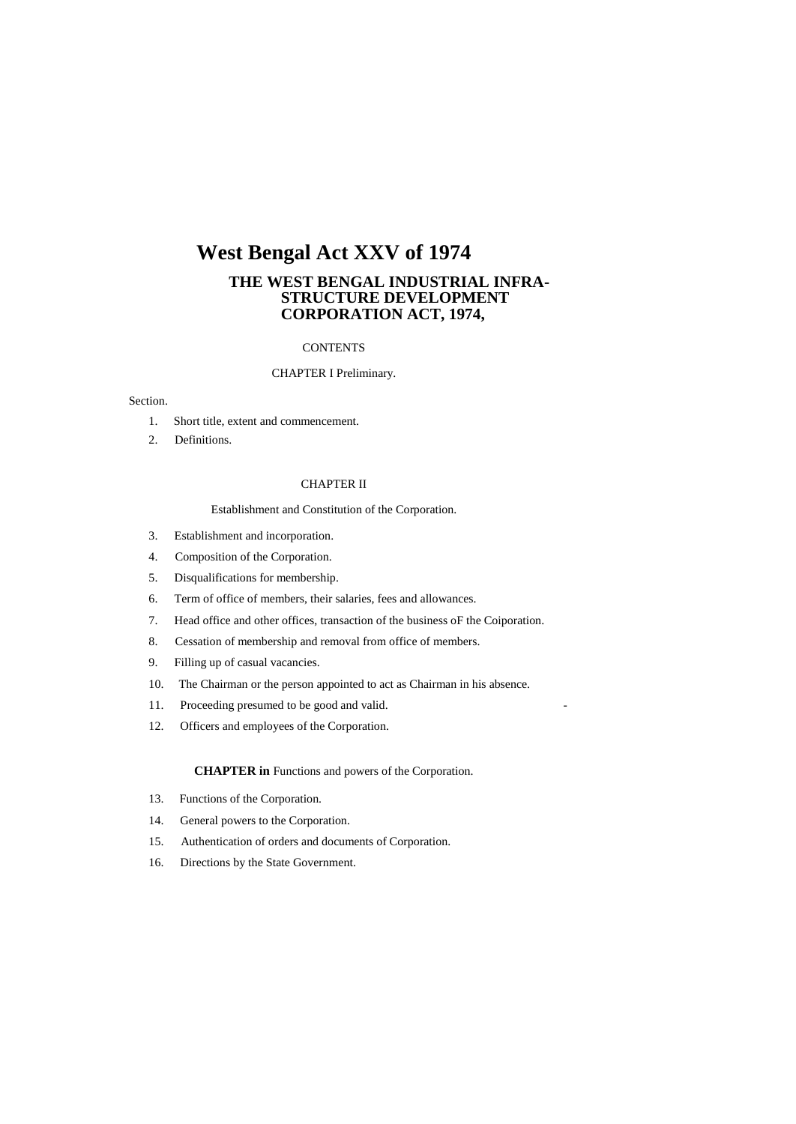# **West Bengal Act XXV of 1974**

## **THE WEST BENGAL INDUSTRIAL INFRA-STRUCTURE DEVELOPMENT CORPORATION ACT, 1974,**

## **CONTENTS**

## CHAPTER I Preliminary.

## Section.

- 1. Short title, extent and commencement.
- 2. Definitions.

#### CHAPTER II

#### Establishment and Constitution of the Corporation.

- 3. Establishment and incorporation.
- 4. Composition of the Corporation.
- 5. Disqualifications for membership.
- 6. Term of office of members, their salaries, fees and allowances.
- 7. Head office and other offices, transaction of the business oF the Coiporation.
- 8. Cessation of membership and removal from office of members.
- 9. Filling up of casual vacancies.
- 10. The Chairman or the person appointed to act as Chairman in his absence.
- 11. Proceeding presumed to be good and valid.
- 12. Officers and employees of the Corporation.

#### **CHAPTER in** Functions and powers of the Corporation.

- 13. Functions of the Corporation.
- 14. General powers to the Corporation.
- 15. Authentication of orders and documents of Corporation.
- 16. Directions by the State Government.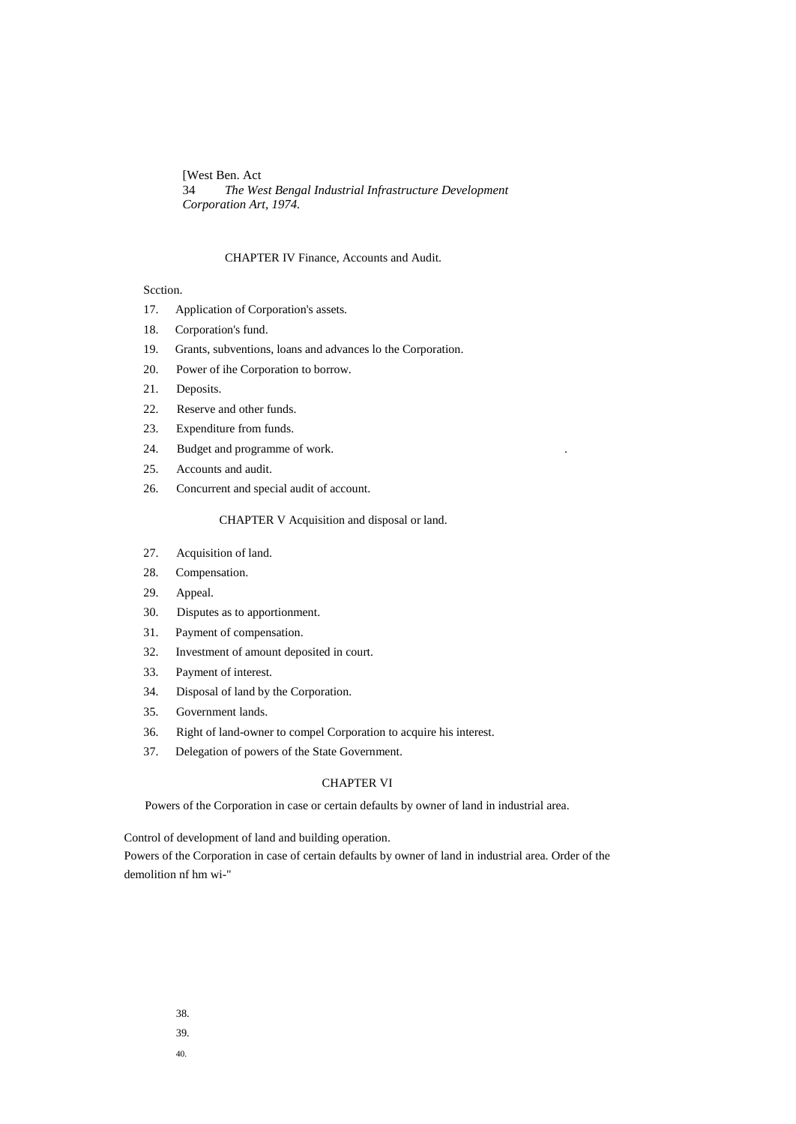[West Ben. Act 34 *The West Bengal Industrial Infrastructure Development Corporation Art, 1974.*

## CHAPTER IV Finance, Accounts and Audit.

## Scction.

- 17. Application of Corporation's assets.
- 18. Corporation's fund.
- 19. Grants, subventions, loans and advances lo the Corporation.
- 20. Power of ihe Corporation to borrow.
- 21. Deposits.
- 22. Reserve and other funds.
- 23. Expenditure from funds.
- 24. Budget and programme of work. .
- 25. Accounts and audit.
- 26. Concurrent and special audit of account.

### CHAPTER V Acquisition and disposal or land.

- 27. Acquisition of land.
- 28. Compensation.
- 29. Appeal.
- 30. Disputes as to apportionment.
- 31. Payment of compensation.
- 32. Investment of amount deposited in court.
- 33. Payment of interest.
- 34. Disposal of land by the Corporation.
- 35. Government lands.
- 36. Right of land-owner to compel Corporation to acquire his interest.
- 37. Delegation of powers of the State Government.

#### CHAPTER VI

Powers of the Corporation in case or certain defaults by owner of land in industrial area.

Control of development of land and building operation.

Powers of the Corporation in case of certain defaults by owner of land in industrial area. Order of the demolition nf hm wi-"

- 38.
- 39.
- 40.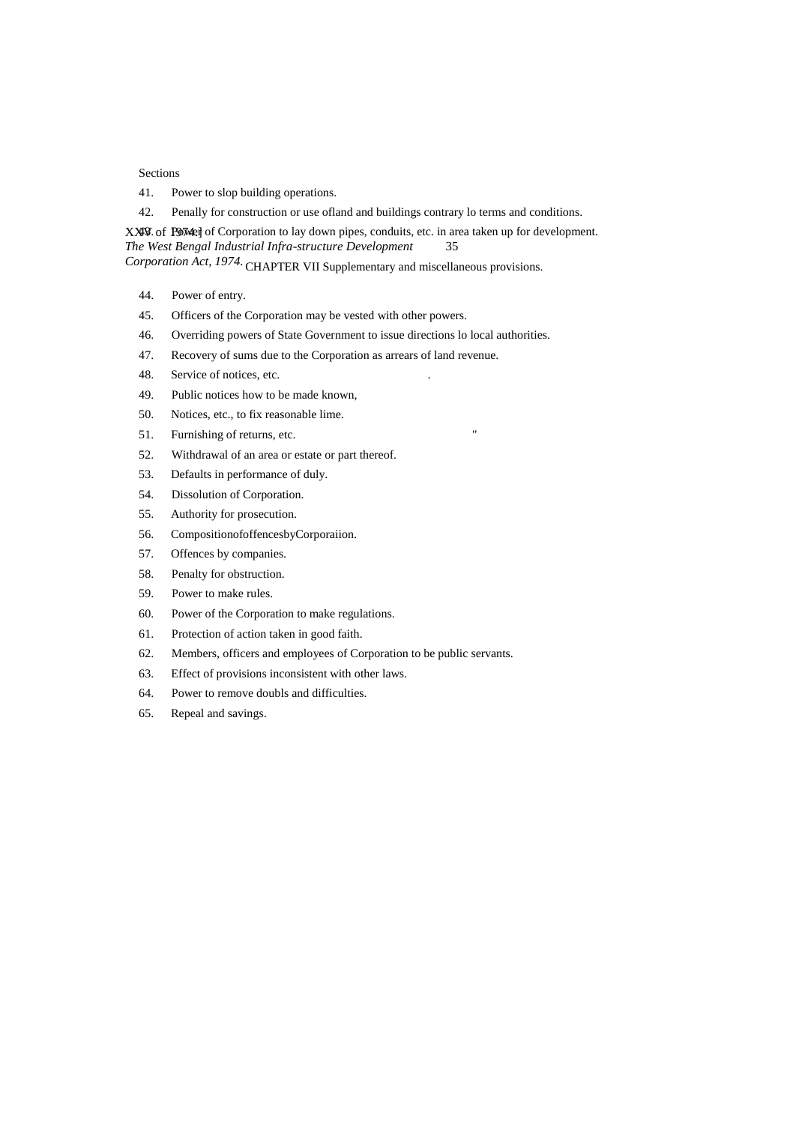## Sections

- 41. Power to slop building operations.
- 42. Penally for construction or use ofland and buildings contrary lo terms and conditions.

XXV Of POWed of Corporation to lay down pipes, conduits, etc. in area taken up for development. *The West Bengal Industrial Infra-structure Development* 35

*Corporation Act, 1974.* CHAPTER VII Supplementary and miscellaneous provisions.

- 44. Power of entry.
- 45. Officers of the Corporation may be vested with other powers.
- 46. Overriding powers of State Government to issue directions lo local authorities.
- 47. Recovery of sums due to the Corporation as arrears of land revenue.
- 48. Service of notices, etc.
- 49. Public notices how to be made known,
- 50. Notices, etc., to fix reasonable lime.
- 51. Furnishing of returns, etc. "
- 52. Withdrawal of an area or estate or part thereof.
- 53. Defaults in performance of duly.
- 54. Dissolution of Corporation.
- 55. Authority for prosecution.
- 56. CompositionofoffencesbyCorporaiion.
- 57. Offences by companies.
- 58. Penalty for obstruction.
- 59. Power to make rules.
- 60. Power of the Corporation to make regulations.
- 61. Protection of action taken in good faith.
- 62. Members, officers and employees of Corporation to be public servants.
- 63. Effect of provisions inconsistent with other laws.
- 64. Power to remove doubls and difficulties.
- 65. Repeal and savings.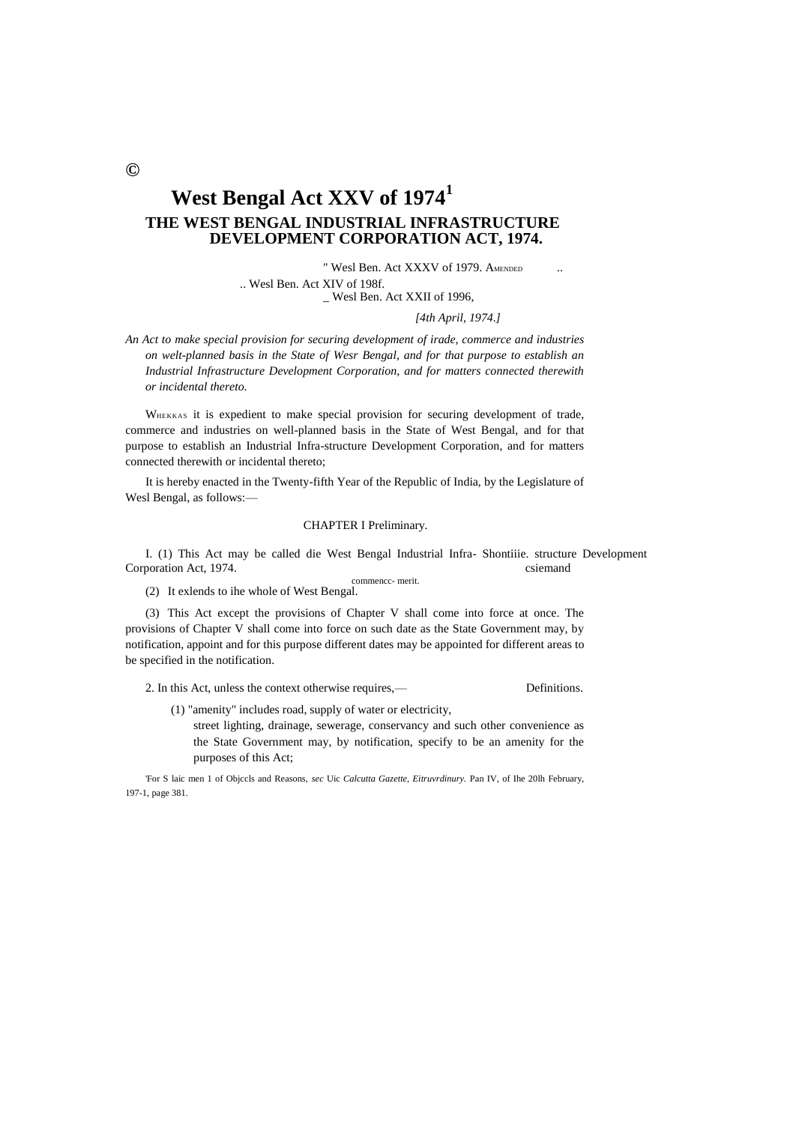# **West Bengal Act XXV of 1974<sup>1</sup> THE WEST BENGAL INDUSTRIAL INFRASTRUCTURE DEVELOPMENT CORPORATION ACT, 1974.**

" Wesl Ben. Act XXXV of 1979. AMENDED .. Wesl Ben. Act XIV of 198f. \_ Wesl Ben. Act XXII of 1996,

*[4th April, 1974.]*

*An Act to make special provision for securing development of irade, commerce and industries on welt-planned basis in the State of Wesr Bengal, and for that purpose to establish an Industrial Infrastructure Development Corporation, and for matters connected therewith or incidental thereto.*

WHEKKAS it is expedient to make special provision for securing development of trade, commerce and industries on well-planned basis in the State of West Bengal, and for that purpose to establish an Industrial Infra-structure Development Corporation, and for matters connected therewith or incidental thereto;

It is hereby enacted in the Twenty-fifth Year of the Republic of India, by the Legislature of Wesl Bengal, as follows:—

## CHAPTER I Preliminary.

I. (1) This Act may be called die West Bengal Industrial Infra- Shontiiie. structure Development Corporation Act, 1974. csiemand commencc- merit.

(2) It exlends to ihe whole of West Bengal.

(3) This Act except the provisions of Chapter V shall come into force at once. The provisions of Chapter V shall come into force on such date as the State Government may, by notification, appoint and for this purpose different dates may be appointed for different areas to be specified in the notification.

2. In this Act, unless the context otherwise requires,—

(1) "amenity" includes road, supply of water or electricity,

street lighting, drainage, sewerage, conservancy and such other convenience as the State Government may, by notification, specify to be an amenity for the purposes of this Act;

'For S laic men 1 of Objccls and Reasons, *sec* Uic *Calcutta Gazette, Eitruvrdinury.* Pan IV, of Ihe 20lh February, 197-1, page 381.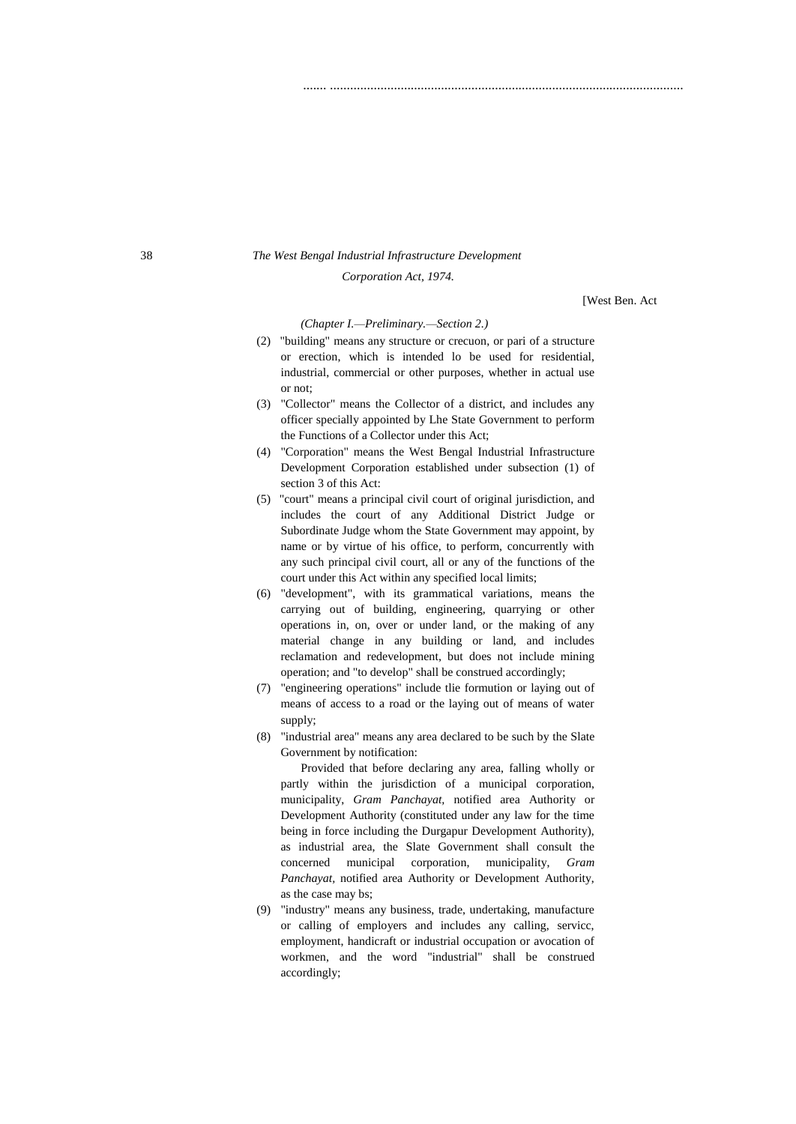## 38 *The West Bengal Industrial Infrastructure Development*

#### *Corporation Act, 1974.*

[West Ben. Act

#### *(Chapter I.—Preliminary.—Section 2.)*

(2) "building" means any structure or crecuon, or pari of a structure or erection, which is intended lo be used for residential, industrial, commercial or other purposes, whether in actual use or not;

....... .........................................................................................................

- (3) "Collector" means the Collector of a district, and includes any officer specially appointed by Lhe State Government to perform the Functions of a Collector under this Act;
- (4) "Corporation" means the West Bengal Industrial Infrastructure Development Corporation established under subsection (1) of section 3 of this Act:
- (5) "court" means a principal civil court of original jurisdiction, and includes the court of any Additional District Judge or Subordinate Judge whom the State Government may appoint, by name or by virtue of his office, to perform, concurrently with any such principal civil court, all or any of the functions of the court under this Act within any specified local limits;
- (6) "development", with its grammatical variations, means the carrying out of building, engineering, quarrying or other operations in, on, over or under land, or the making of any material change in any building or land, and includes reclamation and redevelopment, but does not include mining operation; and "to develop" shall be construed accordingly;
- (7) "engineering operations" include tlie formution or laying out of means of access to a road or the laying out of means of water supply;
- (8) "industrial area" means any area declared to be such by the Slate Government by notification:

Provided that before declaring any area, falling wholly or partly within the jurisdiction of a municipal corporation, municipality, *Gram Panchayat,* notified area Authority or Development Authority (constituted under any law for the time being in force including the Durgapur Development Authority), as industrial area, the Slate Government shall consult the concerned municipal corporation, municipality, *Gram Panchayat,* notified area Authority or Development Authority, as the case may bs;

(9) "industry" means any business, trade, undertaking, manufacture or calling of employers and includes any calling, servicc, employment, handicraft or industrial occupation or avocation of workmen, and the word "industrial" shall be construed accordingly;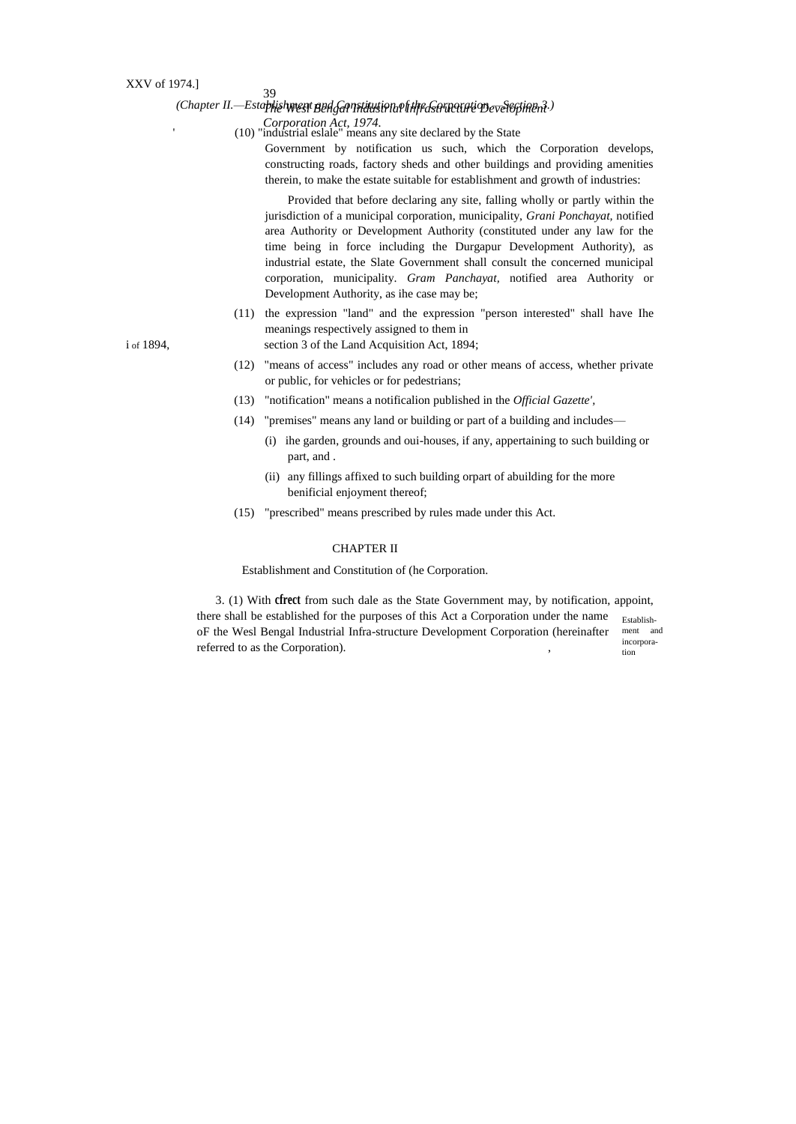'

## *The Wesl Bengal Industrial Infrastructure Development (Chapter II.—Establishment and Constitution of the Corporation.—Section 3.)*

39

*Corporation Act, 1974.* (10) "industrial eslale" means any site declared by the State

Government by notification us such, which the Corporation develops, constructing roads, factory sheds and other buildings and providing amenities therein, to make the estate suitable for establishment and growth of industries:

Provided that before declaring any site, falling wholly or partly within the jurisdiction of a municipal corporation, municipality, *Grani Ponchayat,* notified area Authority or Development Authority (constituted under any law for the time being in force including the Durgapur Development Authority), as industrial estate, the Slate Government shall consult the concerned municipal corporation, municipality. *Gram Panchayat,* notified area Authority or Development Authority, as ihe case may be;

(11) the expression "land" and the expression "person interested" shall have Ihe meanings respectively assigned to them in i of 1894, section 3 of the Land Acquisition Act, 1894;

- (12) "means of access" includes any road or other means of access, whether private or public, for vehicles or for pedestrians;
- (13) "notification" means a notificalion published in the *Official Gazette',*
- (14) "premises" means any land or building or part of a building and includes—
	- (i) ihe garden, grounds and oui-houses, if any, appertaining to such building or part, and .
	- (ii) any fillings affixed to such building orpart of abuilding for the more benificial enjoyment thereof;
- (15) "prescribed" means prescribed by rules made under this Act.

## CHAPTER II

Establishment and Constitution of (he Corporation.

tion 3. (1) With **cfrect** from such dale as the State Government may, by notification, appoint, there shall be established for the purposes of this Act a Corporation under the name oF the Wesl Bengal Industrial Infra-structure Development Corporation (hereinafter referred to as the Corporation).

Establishment and incorpora-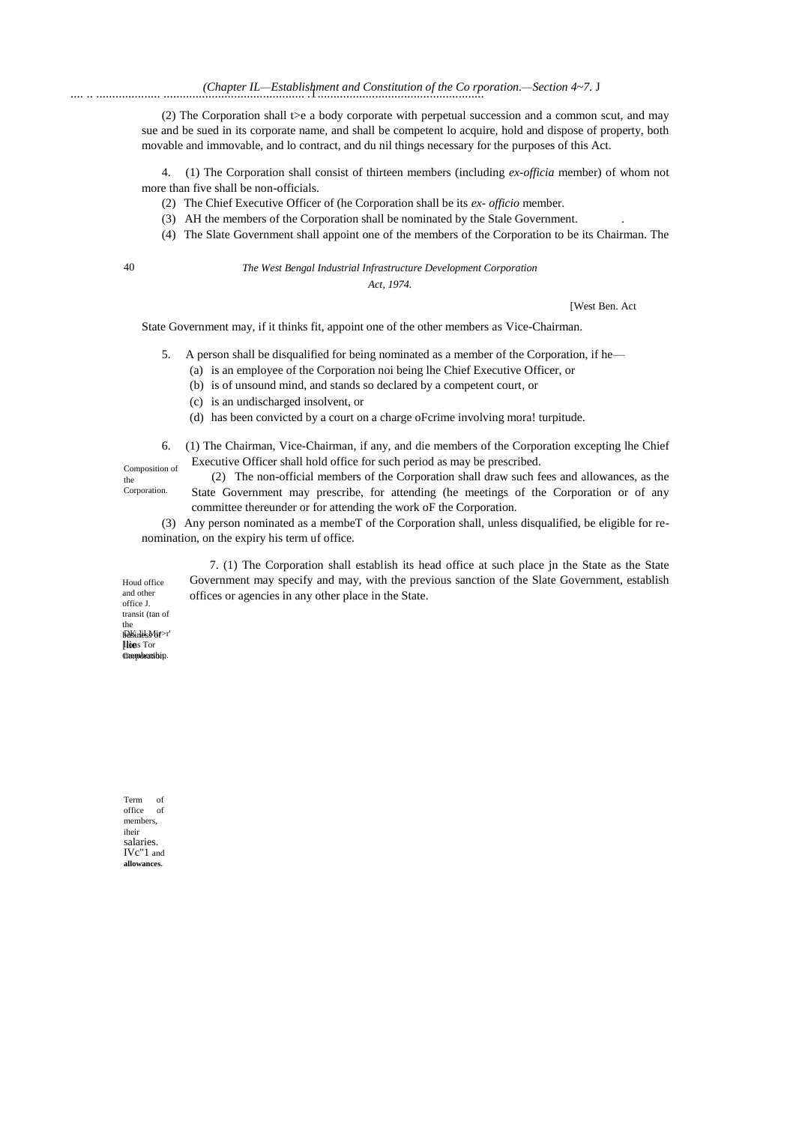(2) The Corporation shall t>e a body corporate with perpetual succession and a common scut, and may sue and be sued in its corporate name, and shall be competent lo acquire, hold and dispose of property, both movable and immovable, and lo contract, and du nil things necessary for the purposes of this Act.

4. (1) The Corporation shall consist of thirteen members (including *ex-officia* member) of whom not more than five shall be non-officials.

- (2) The Chief Executive Officer of (he Corporation shall be its *ex- officio* member.
- (3) AH the members of the Corporation shall be nominated by the Stale Government. .
- (4) The Slate Government shall appoint one of the members of the Corporation to be its Chairman. The

40 *The West Bengal Industrial Infrastructure Development Corporation* 

*Act, 1974.*

[West Ben. Act

State Government may, if it thinks fit, appoint one of the other members as Vice-Chairman.

- 5. A person shall be disqualified for being nominated as a member of the Corporation, if he—
	- (a) is an employee of the Corporation noi being lhe Chief Executive Officer, or
	- (b) is of unsound mind, and stands so declared by a competent court, or
	- (c) is an undischarged insolvent, or
	- (d) has been convicted by a court on a charge oFcrime involving mora! turpitude.
- 6. (1) The Chairman, Vice-Chairman, if any, and die members of the Corporation excepting lhe Chief Executive Officer shall hold office for such period as may be prescribed.

Composition of the Corporation.

(2) The non-official members of the Corporation shall draw such fees and allowances, as the State Government may prescribe, for attending (he meetings of the Corporation or of any committee thereunder or for attending the work oF the Corporation.

(3) Any person nominated as a membeT of the Corporation shall, unless disqualified, be eligible for renomination, on the expiry his term uf office.

7. (1) The Corporation shall establish its head office at such place jn the State as the State Government may specify and may, with the previous sanction of the Slate Government, establish offices or agencies in any other place in the State.

DK ]il Mir>r' business of lions Tor [lie membership. Corporation. Houd office and other office J. transit (tan of the

Term of office of members, iheir salaries. IVc"1 and **allowances.**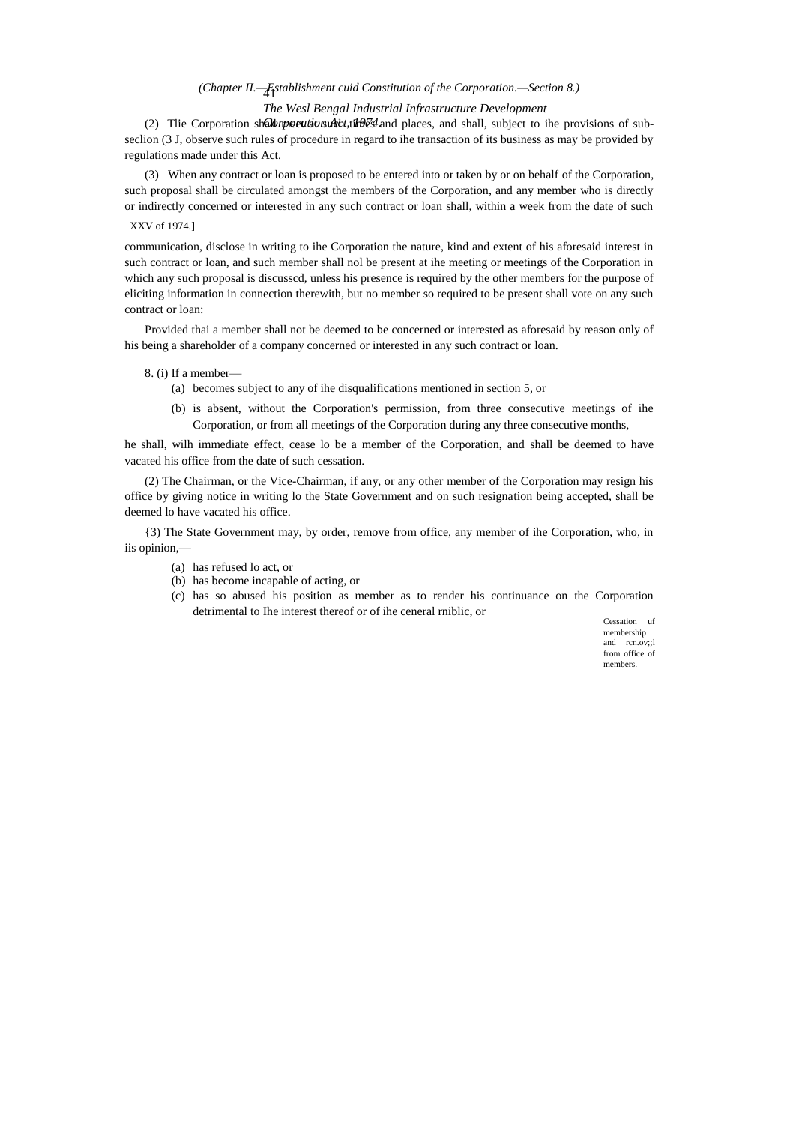# 41 *(Chapter II.—Establishment cuid Constitution of the Corporation.—Section 8.)*

## *The Wesl Bengal Industrial Infrastructure Development*

(2) Tlie Corporation shall *meet tions debt*, times and places, and shall, subject to ihe provisions of subseclion (3 J, observe such rules of procedure in regard to ihe transaction of its business as may be provided by regulations made under this Act.

(3) When any contract or loan is proposed to be entered into or taken by or on behalf of the Corporation, such proposal shall be circulated amongst the members of the Corporation, and any member who is directly or indirectly concerned or interested in any such contract or loan shall, within a week from the date of such

## XXV of 1974.]

communication, disclose in writing to ihe Corporation the nature, kind and extent of his aforesaid interest in such contract or loan, and such member shall nol be present at ihe meeting or meetings of the Corporation in which any such proposal is discusscd, unless his presence is required by the other members for the purpose of eliciting information in connection therewith, but no member so required to be present shall vote on any such contract or loan:

Provided thai a member shall not be deemed to be concerned or interested as aforesaid by reason only of his being a shareholder of a company concerned or interested in any such contract or loan.

#### 8. (i) If a member—

- (a) becomes subject to any of ihe disqualifications mentioned in section 5, or
- (b) is absent, without the Corporation's permission, from three consecutive meetings of ihe Corporation, or from all meetings of the Corporation during any three consecutive months,

he shall, wilh immediate effect, cease lo be a member of the Corporation, and shall be deemed to have vacated his office from the date of such cessation.

(2) The Chairman, or the Vice-Chairman, if any, or any other member of the Corporation may resign his office by giving notice in writing lo the State Government and on such resignation being accepted, shall be deemed lo have vacated his office.

{3) The State Government may, by order, remove from office, any member of ihe Corporation, who, in iis opinion,—

- (a) has refused lo act, or
- (b) has become incapable of acting, or
- (c) has so abused his position as member as to render his continuance on the Corporation detrimental to Ihe interest thereof or of ihe ceneral rniblic, or

Cessation uf membership and rcn.ov;;l from office of members.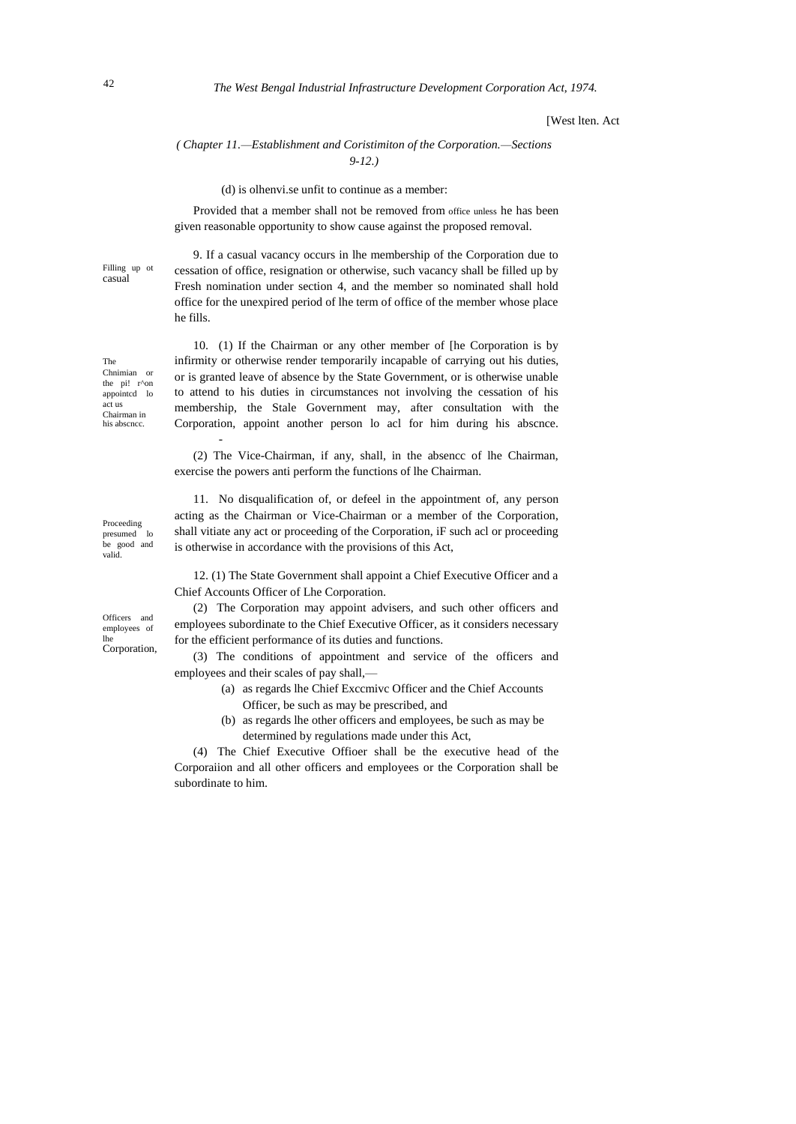#### [West lten. Act

### *( Chapter 11.—Establishment and Coristimiton of the Corporation.—Sections 9-12.)*

(d) is olhenvi.se unfit to continue as a member:

Provided that a member shall not be removed from office unless he has been given reasonable opportunity to show cause against the proposed removal.

9. If a casual vacancy occurs in lhe membership of the Corporation due to cessation of office, resignation or otherwise, such vacancy shall be filled up by Fresh nomination under section 4, and the member so nominated shall hold office for the unexpired period of lhe term of office of the member whose place he fills.

10. (1) If the Chairman or any other member of [he Corporation is by infirmity or otherwise render temporarily incapable of carrying out his duties, or is granted leave of absence by the State Government, or is otherwise unable to attend to his duties in circumstances not involving the cessation of his membership, the Stale Government may, after consultation with the Corporation, appoint another person lo acl for him during his abscnce.

(2) The Vice-Chairman, if any, shall, in the absencc of lhe Chairman, exercise the powers anti perform the functions of lhe Chairman.

11. No disqualification of, or defeel in the appointment of, any person acting as the Chairman or Vice-Chairman or a member of the Corporation, shall vitiate any act or proceeding of the Corporation, iF such acl or proceeding is otherwise in accordance with the provisions of this Act,

12. (1) The State Government shall appoint a Chief Executive Officer and a Chief Accounts Officer of Lhe Corporation.

(2) The Corporation may appoint advisers, and such other officers and employees subordinate to the Chief Executive Officer, as it considers necessary for the efficient performance of its duties and functions.

(3) The conditions of appointment and service of the officers and employees and their scales of pay shall,—

- (a) as regards lhe Chief Exccmivc Officer and the Chief Accounts Officer, be such as may be prescribed, and
- (b) as regards lhe other officers and employees, be such as may be determined by regulations made under this Act,

(4) The Chief Executive Offioer shall be the executive head of the Corporaiion and all other officers and employees or the Corporation shall be subordinate to him.

The Chnimian or the pi! r^on appointcd lo act us Chairman in his abscncc.

Proceeding presumed lo be good and valid.

Officers and employees of lhe Corporation,

Filling up ot casual

-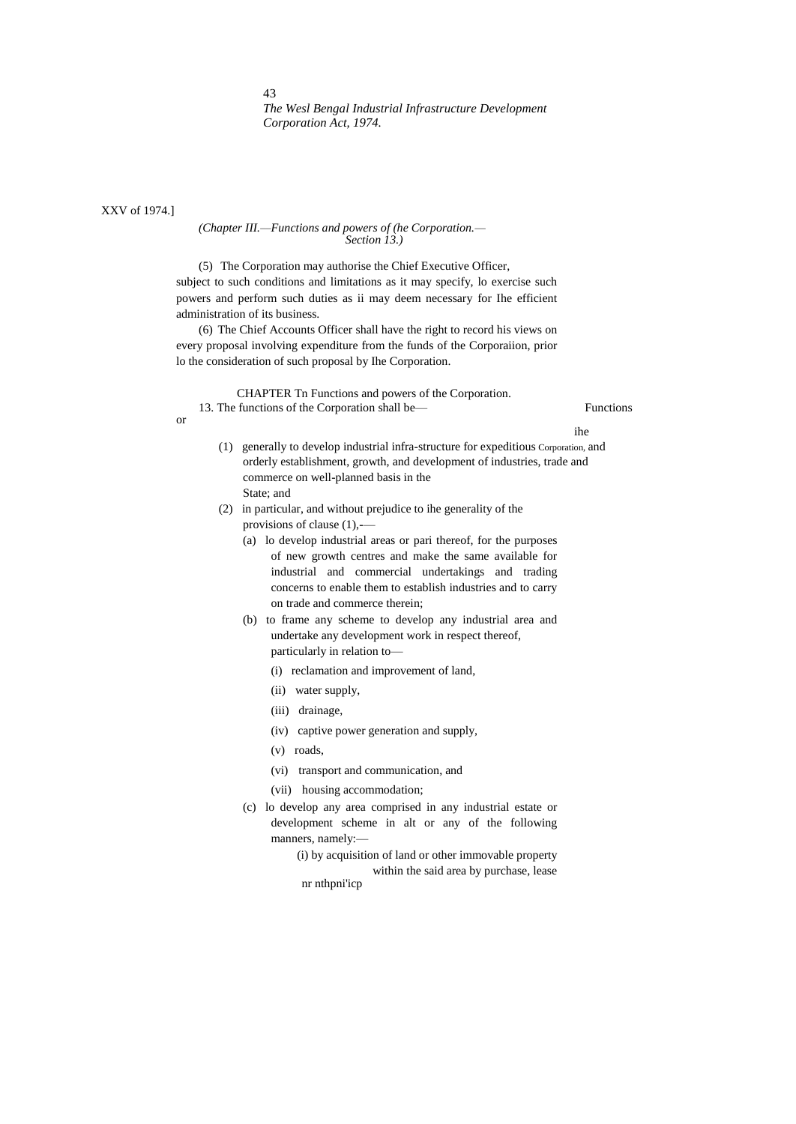XXV of 1974.]

#### *(Chapter III.—Functions and powers of (he Corporation.— Section 13.)*

(5) The Corporation may authorise the Chief Executive Officer, subject to such conditions and limitations as it may specify, lo exercise such powers and perform such duties as ii may deem necessary for Ihe efficient administration of its business.

(6) The Chief Accounts Officer shall have the right to record his views on every proposal involving expenditure from the funds of the Corporaiion, prior lo the consideration of such proposal by Ihe Corporation.

CHAPTER Tn Functions and powers of the Corporation. 13. The functions of the Corporation shall be— Functions

or

ihe

- (1) generally to develop industrial infra-structure for expeditious Corporation, and orderly establishment, growth, and development of industries, trade and commerce on well-planned basis in the State; and
- (2) in particular, and without prejudice to ihe generality of the provisions of clause (1),-—
	- (a) lo develop industrial areas or pari thereof, for the purposes of new growth centres and make the same available for industrial and commercial undertakings and trading concerns to enable them to establish industries and to carry on trade and commerce therein;
	- (b) to frame any scheme to develop any industrial area and undertake any development work in respect thereof, particularly in relation to—
		- (i) reclamation and improvement of land,
		- (ii) water supply,
		- (iii) drainage,
		- (iv) captive power generation and supply,
		- (v) roads,
		- (vi) transport and communication, and
		- (vii) housing accommodation;
	- (c) lo develop any area comprised in any industrial estate or development scheme in alt or any of the following manners, namely:—
		- (i) by acquisition of land or other immovable property within the said area by purchase, lease nr nthpni'icp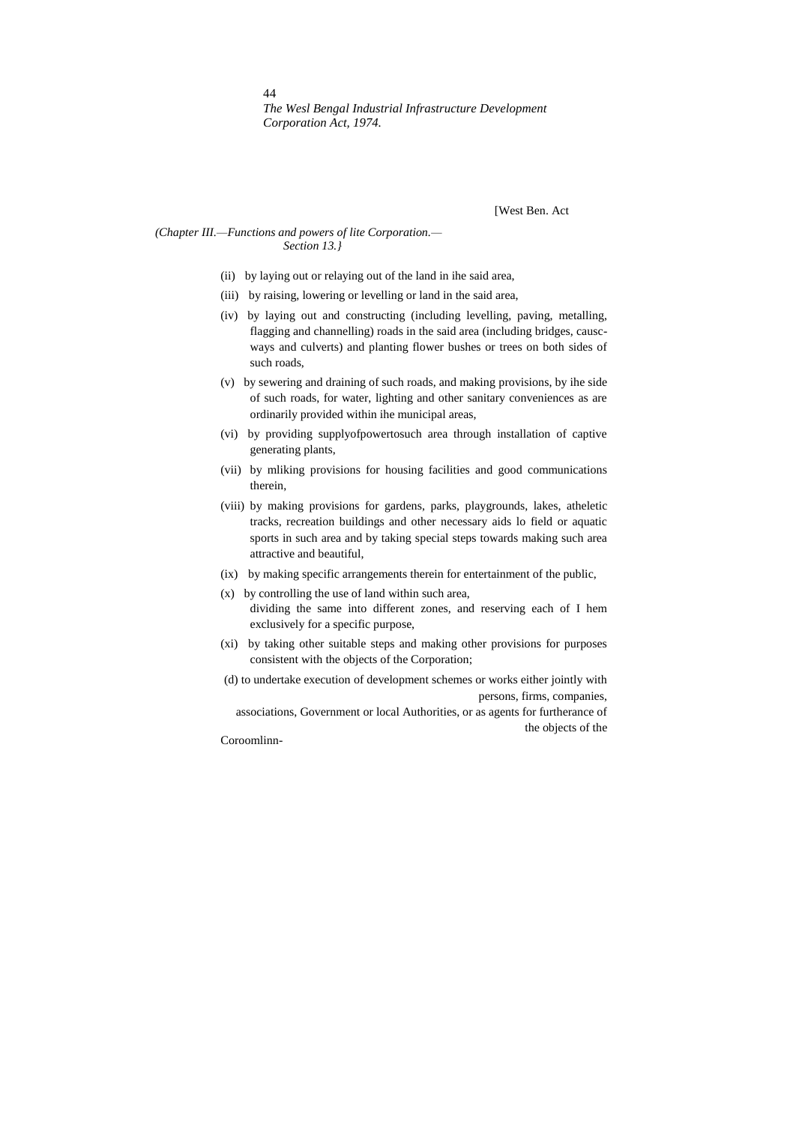[West Ben. Act

### *(Chapter III.—Functions and powers of lite Corporation.— Section 13.}*

- (ii) by laying out or relaying out of the land in ihe said area,
- (iii) by raising, lowering or levelling or land in the said area,
- (iv) by laying out and constructing (including levelling, paving, metalling, flagging and channelling) roads in the said area (including bridges, causcways and culverts) and planting flower bushes or trees on both sides of such roads,
- (v) by sewering and draining of such roads, and making provisions, by ihe side of such roads, for water, lighting and other sanitary conveniences as are ordinarily provided within ihe municipal areas,
- (vi) by providing supplyofpowertosuch area through installation of captive generating plants,
- (vii) by mliking provisions for housing facilities and good communications therein,
- (viii) by making provisions for gardens, parks, playgrounds, lakes, atheletic tracks, recreation buildings and other necessary aids lo field or aquatic sports in such area and by taking special steps towards making such area attractive and beautiful,
- (ix) by making specific arrangements therein for entertainment of the public,
- (x) by controlling the use of land within such area, dividing the same into different zones, and reserving each of I hem exclusively for a specific purpose,
- (xi) by taking other suitable steps and making other provisions for purposes consistent with the objects of the Corporation;
- (d) to undertake execution of development schemes or works either jointly with persons, firms, companies, associations, Government or local Authorities, or as agents for furtherance of the objects of the Coroomlinn-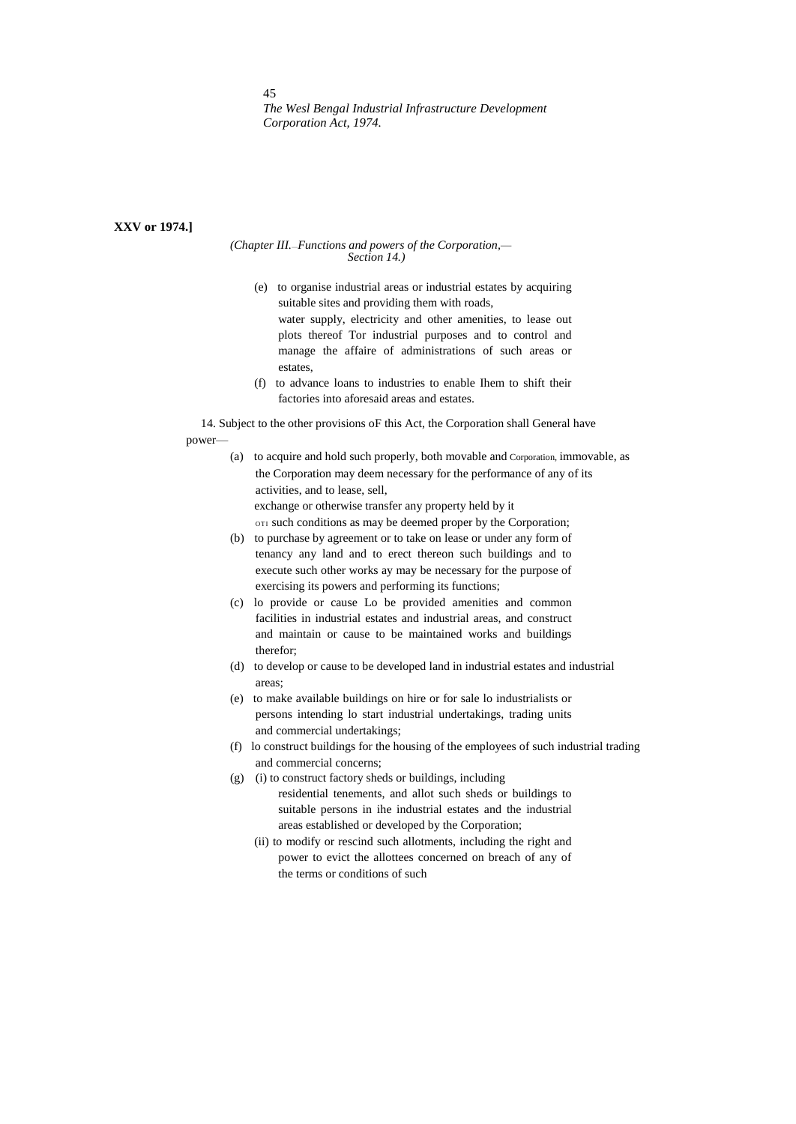## **XXV or 1974.]**

#### *(Chapter III.*—*Functions and powers of the Corporation,— Section 14.)*

- (e) to organise industrial areas or industrial estates by acquiring suitable sites and providing them with roads, water supply, electricity and other amenities, to lease out plots thereof Tor industrial purposes and to control and manage the affaire of administrations of such areas or estates,
- (f) to advance loans to industries to enable Ihem to shift their factories into aforesaid areas and estates.

14. Subject to the other provisions oF this Act, the Corporation shall General have power—

> (a) to acquire and hold such properly, both movable and Corporation, immovable, as the Corporation may deem necessary for the performance of any of its activities, and to lease, sell, exchange or otherwise transfer any property held by it

OTI such conditions as may be deemed proper by the Corporation;

- (b) to purchase by agreement or to take on lease or under any form of tenancy any land and to erect thereon such buildings and to execute such other works ay may be necessary for the purpose of exercising its powers and performing its functions;
- (c) lo provide or cause Lo be provided amenities and common facilities in industrial estates and industrial areas, and construct and maintain or cause to be maintained works and buildings therefor;
- (d) to develop or cause to be developed land in industrial estates and industrial areas;
- (e) to make available buildings on hire or for sale lo industrialists or persons intending lo start industrial undertakings, trading units and commercial undertakings;
- (f) lo construct buildings for the housing of the employees of such industrial trading and commercial concerns;
- (g) (i) to construct factory sheds or buildings, including residential tenements, and allot such sheds or buildings to suitable persons in ihe industrial estates and the industrial areas established or developed by the Corporation;
	- (ii) to modify or rescind such allotments, including the right and power to evict the allottees concerned on breach of any of the terms or conditions of such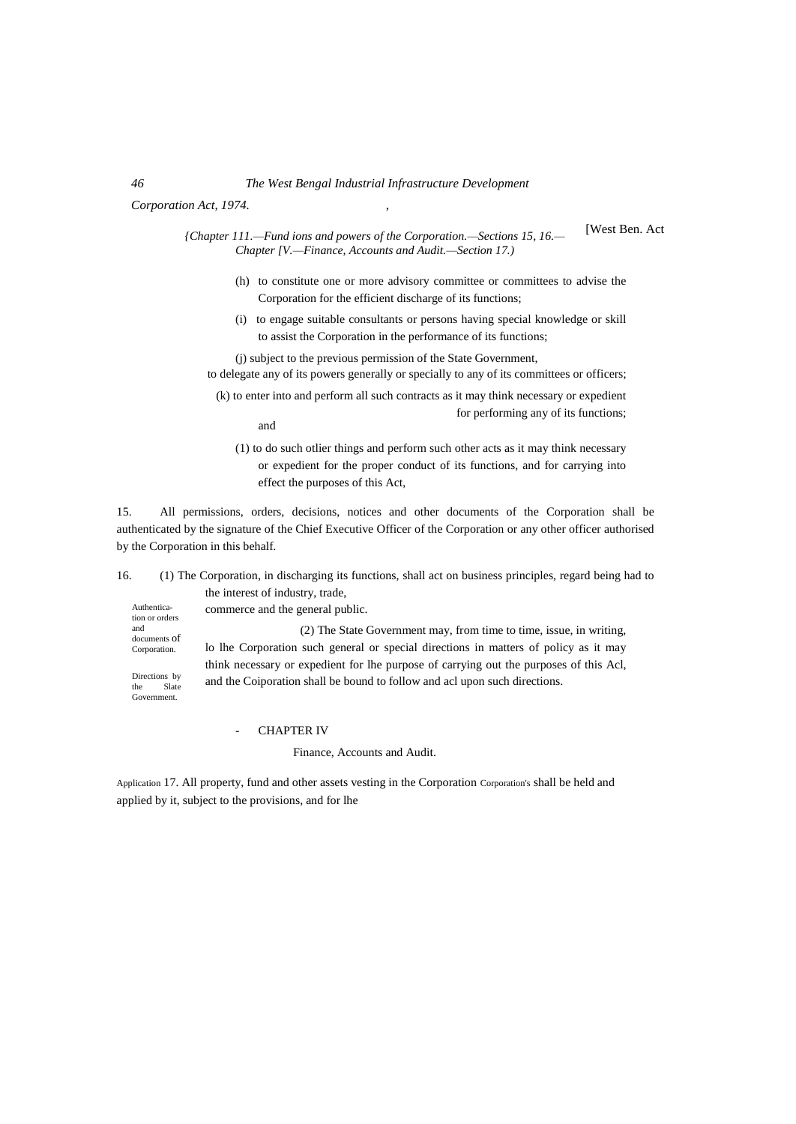## *46 The West Bengal Industrial Infrastructure Development*

*Corporation Act, 1974. ,*

[West Ben. Act

*{Chapter 111.—Fund ions and powers of the Corporation.—Sections 15, 16.— Chapter [V.—Finance, Accounts and Audit.—Section 17.)*

- (h) to constitute one or more advisory committee or committees to advise the Corporation for the efficient discharge of its functions;
- (i) to engage suitable consultants or persons having special knowledge or skill to assist the Corporation in the performance of its functions;

(j) subject to the previous permission of the State Government,

- to delegate any of its powers generally or specially to any of its committees or officers;
- (k) to enter into and perform all such contracts as it may think necessary or expedient for performing any of its functions; and
	- (1) to do such otlier things and perform such other acts as it may think necessary or expedient for the proper conduct of its functions, and for carrying into effect the purposes of this Act,

15. All permissions, orders, decisions, notices and other documents of the Corporation shall be authenticated by the signature of the Chief Executive Officer of the Corporation or any other officer authorised by the Corporation in this behalf.

16. (1) The Corporation, in discharging its functions, shall act on business principles, regard being had to the interest of industry, trade,

Authentication or orders and documents of Corporation.

Directions by the Slate Government.

commerce and the general public.

(2) The State Government may, from time to time, issue, in writing, lo lhe Corporation such general or special directions in matters of policy as it may think necessary or expedient for lhe purpose of carrying out the purposes of this Acl, and the Coiporation shall be bound to follow and acl upon such directions.

**CHAPTER IV** 

Finance, Accounts and Audit.

Application 17. All property, fund and other assets vesting in the Corporation Corporation's shall be held and applied by it, subject to the provisions, and for lhe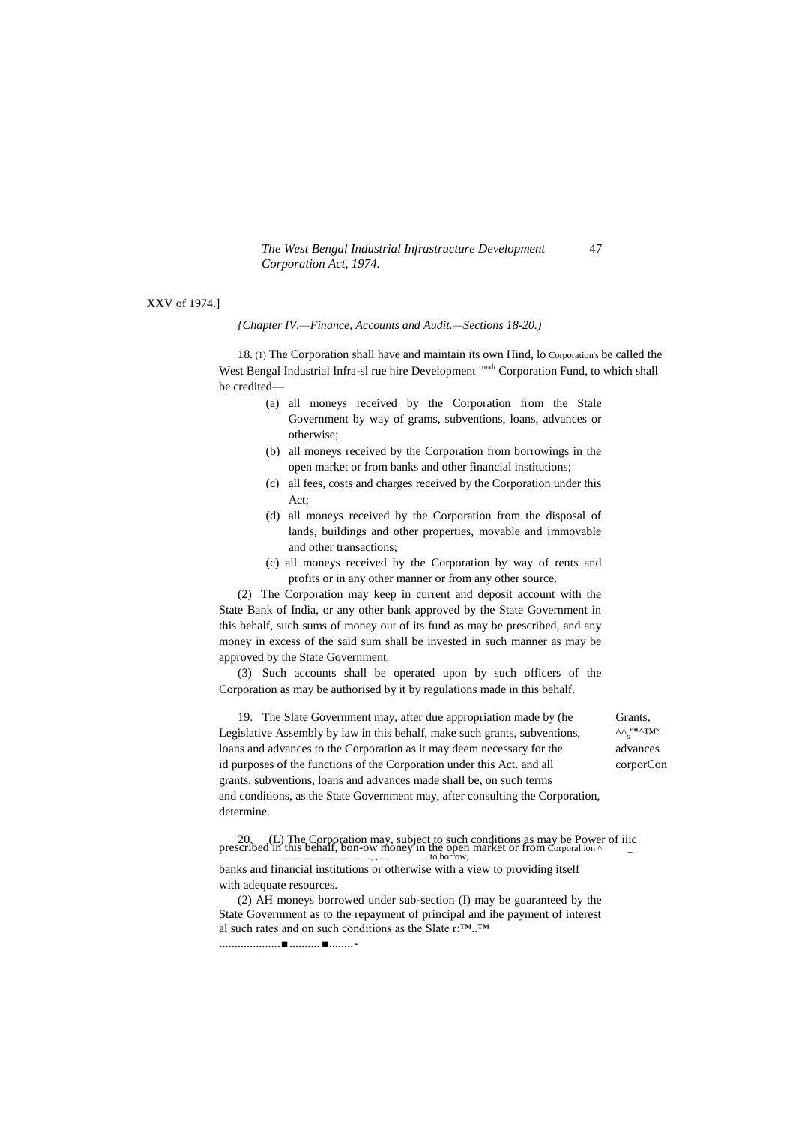XXV of 1974.]

*{Chapter IV.—Finance, Accounts and Audit.—Sections 18-20.)*

18. (1) The Corporation shall have and maintain its own Hind, lo Corporation's be called the West Bengal Industrial Infra-sl rue hire Development rund Corporation Fund, to which shall be credited—

- (a) all moneys received by the Corporation from the Stale Government by way of grams, subventions, loans, advances or otherwise;
- (b) all moneys received by the Corporation from borrowings in the open market or from banks and other financial institutions;
- (c) all fees, costs and charges received by the Corporation under this  $Act$
- (d) all moneys received by the Corporation from the disposal of lands, buildings and other properties, movable and immovable and other transactions;
- (c) all moneys received by the Corporation by way of rents and profits or in any other manner or from any other source.

(2) The Corporation may keep in current and deposit account with the State Bank of India, or any other bank approved by the State Government in this behalf, such sums of money out of its fund as may be prescribed, and any money in excess of the said sum shall be invested in such manner as may be approved by the State Government.

(3) Such accounts shall be operated upon by such officers of the Corporation as may be authorised by it by regulations made in this behalf.

19. The Slate Government may, after due appropriation made by (he Grants, Legislative Assembly by law in this behalf, make such grants, subventions, loans and advances to the Corporation as it may deem necessary for the advances id purposes of the functions of the Corporation under this Act. and all corporCon grants, subventions, loans and advances made shall be, on such terms and conditions, as the State Government may, after consulting the Corporation, determine.

e"∧TM<sup>s</sup>'

20. (L) The Corporation may, subject to such conditions as may be Power of iiic prescribed in this behalf, bon-ow money in the open market or from Corporal ion  $\sim$  \_

banks and financial institutions or otherwise with a view to providing itself with adequate resources.

(2) AH moneys borrowed under sub-section (I) may be guaranteed by the State Government as to the repayment of principal and ihe payment of interest al such rates and on such conditions as the Slate r:™..™

....................■..........■........-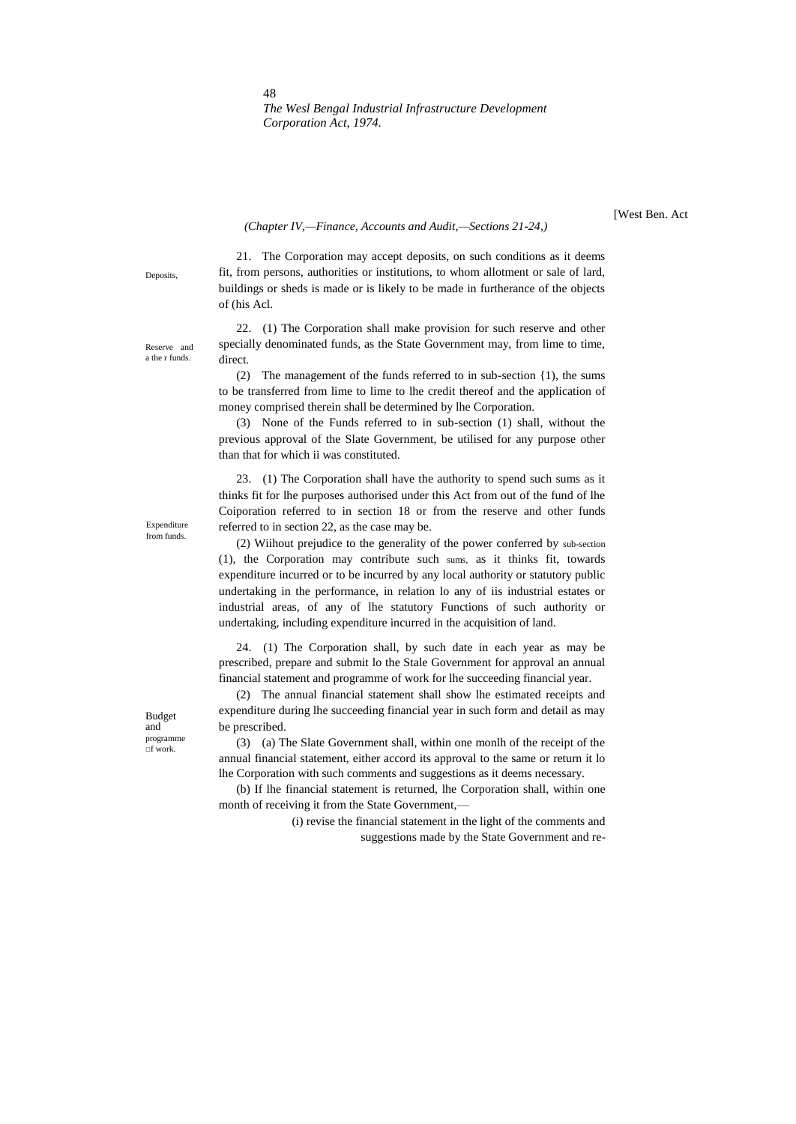#### *(Chapter IV,—Finance, Accounts and Audit,—Sections 21-24,)*

[West Ben. Act

Deposits,

21. The Corporation may accept deposits, on such conditions as it deems fit, from persons, authorities or institutions, to whom allotment or sale of lard, buildings or sheds is made or is likely to be made in furtherance of the objects of (his Acl.

22. (1) The Corporation shall make provision for such reserve and other specially denominated funds, as the State Government may, from lime to time, direct.

(2) The management of the funds referred to in sub-section {1), the sums to be transferred from lime to lime to lhe credit thereof and the application of money comprised therein shall be determined by lhe Corporation.

(3) None of the Funds referred to in sub-section (1) shall, without the previous approval of the Slate Government, be utilised for any purpose other than that for which ii was constituted.

23. (1) The Corporation shall have the authority to spend such sums as it thinks fit for lhe purposes authorised under this Act from out of the fund of lhe Coiporation referred to in section 18 or from the reserve and other funds referred to in section 22, as the case may be.

(2) Wiihout prejudice to the generality of the power conferred by sub-section (1), the Corporation may contribute such sums, as it thinks fit, towards expenditure incurred or to be incurred by any local authority or statutory public undertaking in the performance, in relation lo any of iis industrial estates or industrial areas, of any of lhe statutory Functions of such authority or undertaking, including expenditure incurred in the acquisition of land.

24. (1) The Corporation shall, by such date in each year as may be prescribed, prepare and submit lo the Stale Government for approval an annual financial statement and programme of work for lhe succeeding financial year.

(2) The annual financial statement shall show lhe estimated receipts and expenditure during lhe succeeding financial year in such form and detail as may be prescribed.

(3) (a) The Slate Government shall, within one monlh of the receipt of the annual financial statement, either accord its approval to the same or return it lo lhe Corporation with such comments and suggestions as it deems necessary.

(b) If lhe financial statement is returned, lhe Corporation shall, within one month of receiving it from the State Government,—

> (i) revise the financial statement in the light of the comments and suggestions made by the State Government and re-

a the r funds.

Reserve and

Expenditure from funds.

Budget and programme □f work.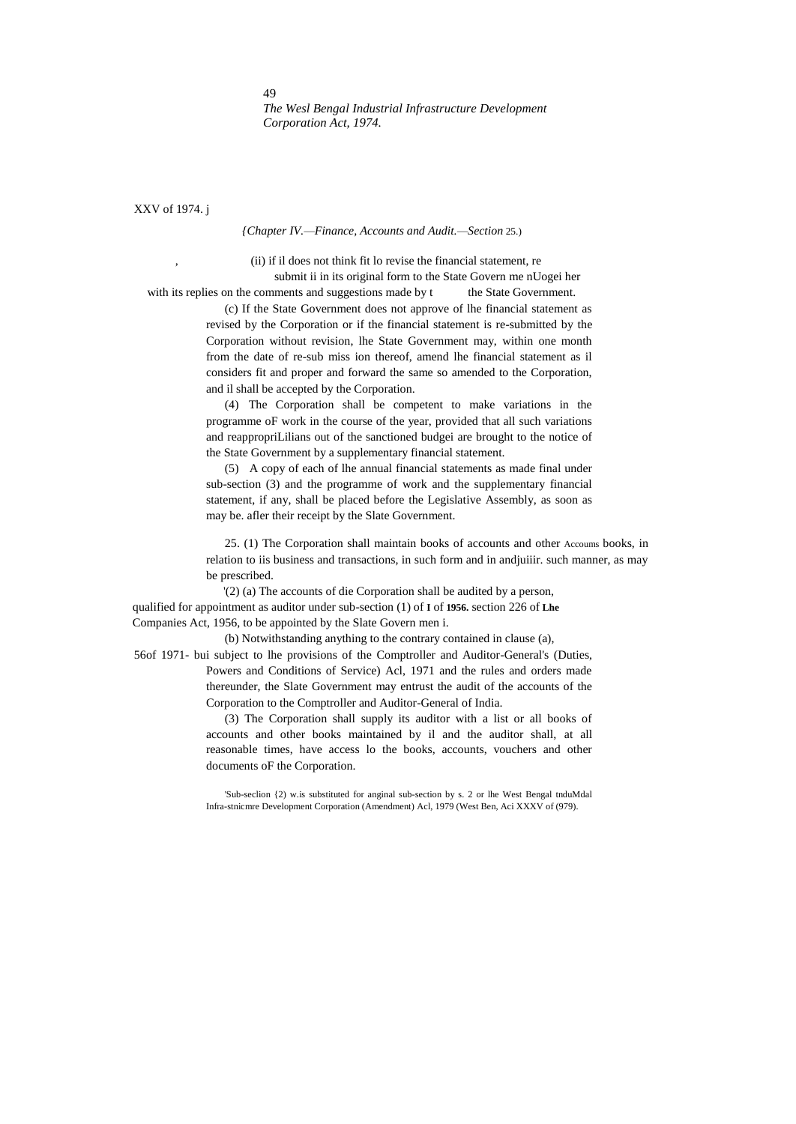XXV of 1974. j

#### *{Chapter IV.—Finance, Accounts and Audit.—Section* 25.)

, (ii) if il does not think fit lo revise the financial statement, re submit ii in its original form to the State Govern me nUogei her

with its replies on the comments and suggestions made by t the State Government.

(c) If the State Government does not approve of lhe financial statement as revised by the Corporation or if the financial statement is re-submitted by the Corporation without revision, lhe State Government may, within one month from the date of re-sub miss ion thereof, amend lhe financial statement as il considers fit and proper and forward the same so amended to the Corporation, and il shall be accepted by the Corporation.

(4) The Corporation shall be competent to make variations in the programme oF work in the course of the year, provided that all such variations and reappropriLilians out of the sanctioned budgei are brought to the notice of the State Government by a supplementary financial statement.

(5) A copy of each of lhe annual financial statements as made final under sub-section (3) and the programme of work and the supplementary financial statement, if any, shall be placed before the Legislative Assembly, as soon as may be. afler their receipt by the Slate Government.

25. (1) The Corporation shall maintain books of accounts and other Accoums books, in relation to iis business and transactions, in such form and in andjuiiir. such manner, as may be prescribed.

'(2) (a) The accounts of die Corporation shall be audited by a person, qualified for appointment as auditor under sub-section (1) of **I** of **1956.** section 226 of **Lhe** Companies Act, 1956, to be appointed by the Slate Govern men i.

(b) Notwithstanding anything to the contrary contained in clause (a),

56of 1971- bui subject to lhe provisions of the Comptroller and Auditor-General's (Duties, Powers and Conditions of Service) Acl, 1971 and the rules and orders made thereunder, the Slate Government may entrust the audit of the accounts of the Corporation to the Comptroller and Auditor-General of India.

> (3) The Corporation shall supply its auditor with a list or all books of accounts and other books maintained by il and the auditor shall, at all reasonable times, have access lo the books, accounts, vouchers and other documents oF the Corporation.

> 'Sub-seclion {2) w.is substituted for anginal sub-section by s. 2 or lhe West Bengal tnduMdal Infra-stnicmre Development Corporation (Amendment) Acl, 1979 (West Ben, Aci XXXV of (979).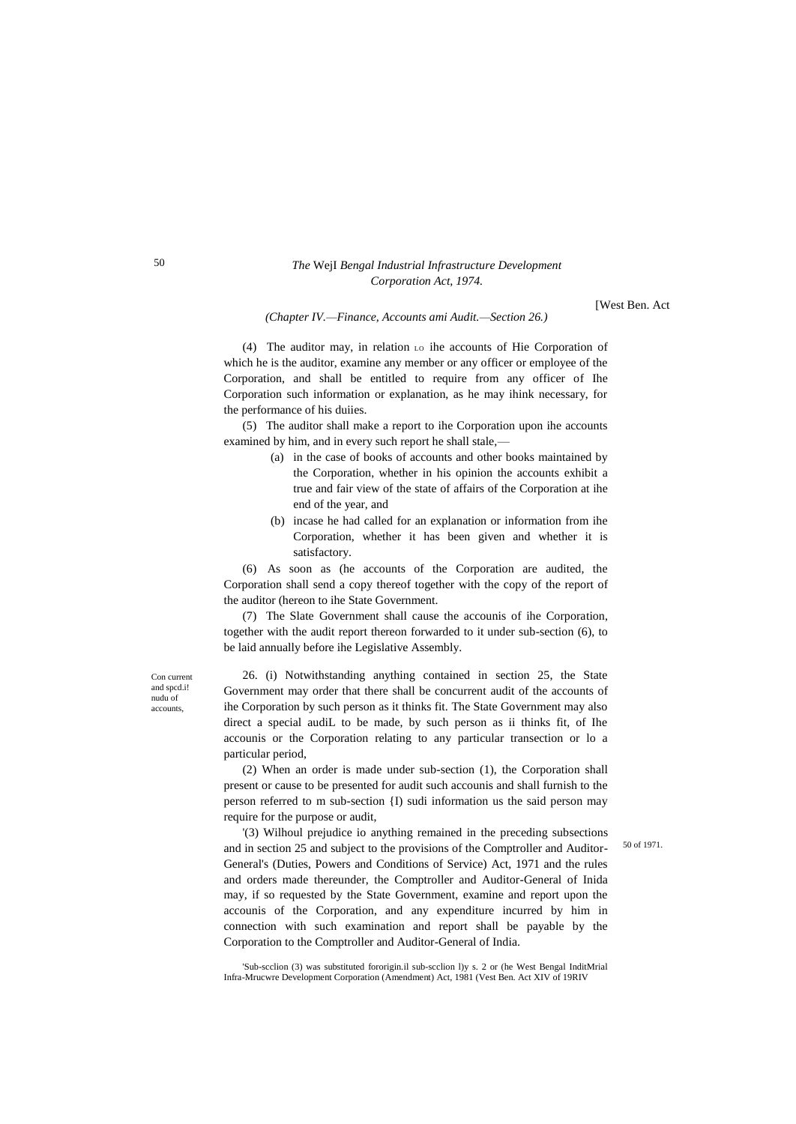[West Ben. Act

*(Chapter IV.—Finance, Accounts ami Audit.—Section 26.)*

(4) The auditor may, in relation LO ihe accounts of Hie Corporation of which he is the auditor, examine any member or any officer or employee of the Corporation, and shall be entitled to require from any officer of Ihe Corporation such information or explanation, as he may ihink necessary, for the performance of his duiies.

(5) The auditor shall make a report to ihe Corporation upon ihe accounts examined by him, and in every such report he shall stale,—

- (a) in the case of books of accounts and other books maintained by the Corporation, whether in his opinion the accounts exhibit a true and fair view of the state of affairs of the Corporation at ihe end of the year, and
- (b) incase he had called for an explanation or information from ihe Corporation, whether it has been given and whether it is satisfactory.

(6) As soon as (he accounts of the Corporation are audited, the Corporation shall send a copy thereof together with the copy of the report of the auditor (hereon to ihe State Government.

(7) The Slate Government shall cause the accounis of ihe Corporation, together with the audit report thereon forwarded to it under sub-section (6), to be laid annually before ihe Legislative Assembly.

26. (i) Notwithstanding anything contained in section 25, the State Government may order that there shall be concurrent audit of the accounts of ihe Corporation by such person as it thinks fit. The State Government may also direct a special audiL to be made, by such person as ii thinks fit, of Ihe accounis or the Corporation relating to any particular transection or lo a particular period,

(2) When an order is made under sub-section (1), the Corporation shall present or cause to be presented for audit such accounis and shall furnish to the person referred to m sub-section {I) sudi information us the said person may require for the purpose or audit,

'(3) Wilhoul prejudice io anything remained in the preceding subsections and in section 25 and subject to the provisions of the Comptroller and Auditor-General's (Duties, Powers and Conditions of Service) Act, 1971 and the rules and orders made thereunder, the Comptroller and Auditor-General of Inida may, if so requested by the State Government, examine and report upon the accounis of the Corporation, and any expenditure incurred by him in connection with such examination and report shall be payable by the Corporation to the Comptroller and Auditor-General of India.

50 of 1971.

'Sub-scclion (3) was substituted fororigin.il sub-scclion l)y s. 2 or (he West Bengal InditMrial Infra-Mrucwre Development Corporation (Amendment) Act, 1981 (Vest Ben. Act XIV of 19RIV

50

Con current and spcd.i! nudu of accounts,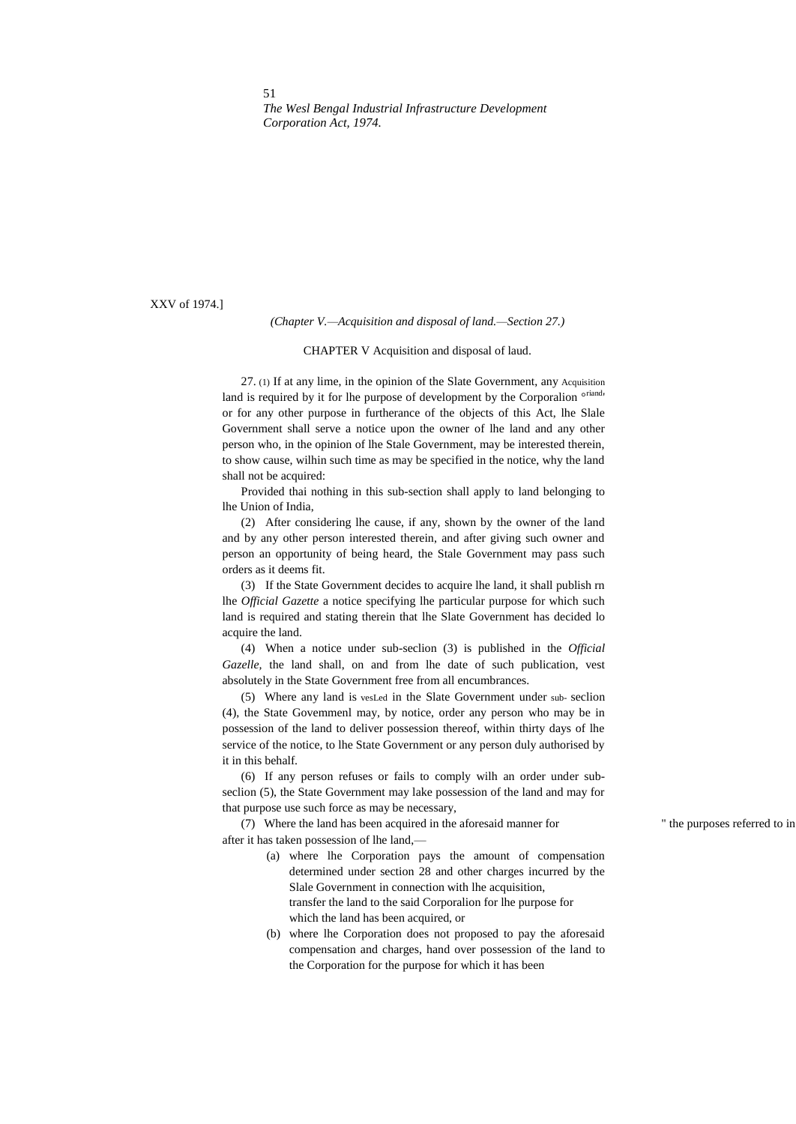XXV of 1974.]

#### *(Chapter V.—Acquisition and disposal of land.—Section 27.)*

#### CHAPTER V Acquisition and disposal of laud.

27. (1) If at any lime, in the opinion of the Slate Government, any Acquisition land is required by it for lhe purpose of development by the Corporalion  $\circ$ <sup>riand</sup>' or for any other purpose in furtherance of the objects of this Act, lhe Slale Government shall serve a notice upon the owner of lhe land and any other person who, in the opinion of lhe Stale Government, may be interested therein, to show cause, wilhin such time as may be specified in the notice, why the land shall not be acquired:

Provided thai nothing in this sub-section shall apply to land belonging to lhe Union of India,

(2) After considering lhe cause, if any, shown by the owner of the land and by any other person interested therein, and after giving such owner and person an opportunity of being heard, the Stale Government may pass such orders as it deems fit.

(3) If the State Government decides to acquire lhe land, it shall publish rn lhe *Official Gazette* a notice specifying lhe particular purpose for which such land is required and stating therein that lhe Slate Government has decided lo acquire the land.

(4) When a notice under sub-seclion (3) is published in the *Official Gazelle,* the land shall, on and from lhe date of such publication, vest absolutely in the State Government free from all encumbrances.

(5) Where any land is vesLed in the Slate Government under sub- seclion (4), the State Govemmenl may, by notice, order any person who may be in possession of the land to deliver possession thereof, within thirty days of lhe service of the notice, to lhe State Government or any person duly authorised by it in this behalf.

(6) If any person refuses or fails to comply wilh an order under subseclion (5), the State Government may lake possession of the land and may for that purpose use such force as may be necessary,

(7) Where the land has been acquired in the aforesaid manner for " the purposes referred to in after it has taken possession of lhe land,—

- (a) where lhe Corporation pays the amount of compensation determined under section 28 and other charges incurred by the Slale Government in connection with lhe acquisition, transfer the land to the said Corporalion for lhe purpose for which the land has been acquired, or
- (b) where lhe Corporation does not proposed to pay the aforesaid compensation and charges, hand over possession of the land to the Corporation for the purpose for which it has been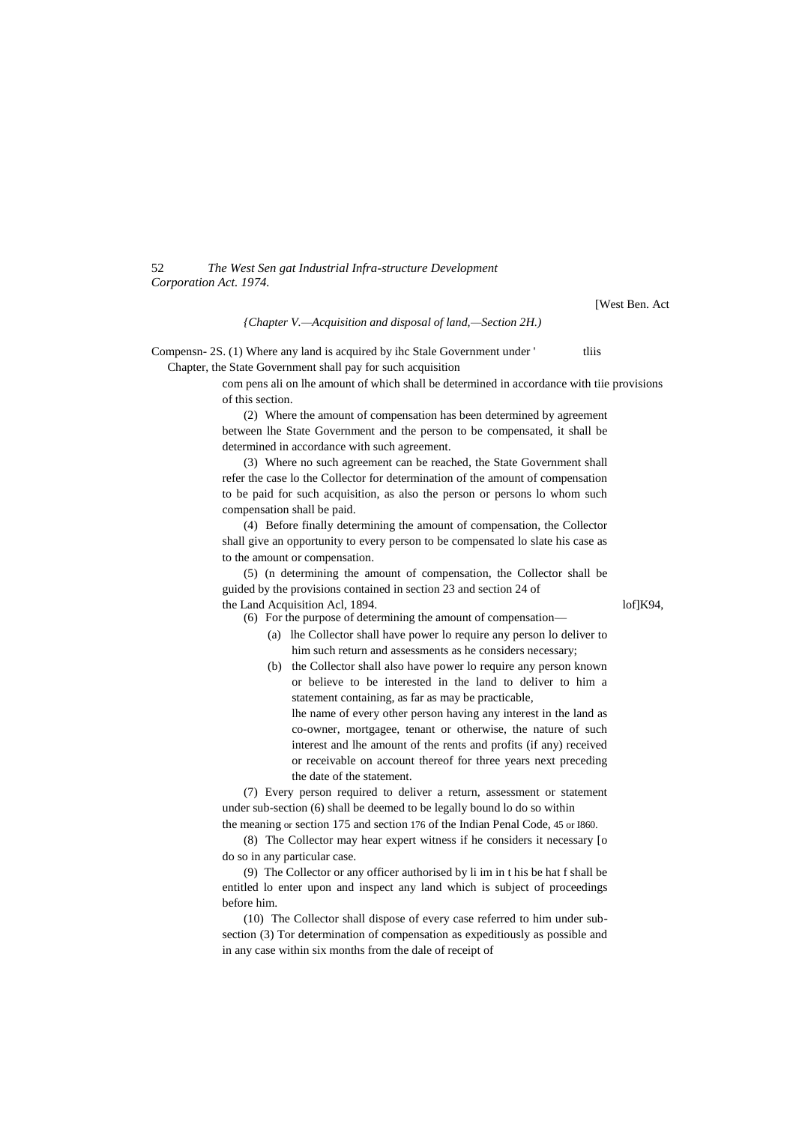*{Chapter V.—Acquisition and disposal of land,—Section 2H.)*

Compensn- 2S. (1) Where any land is acquired by ihc Stale Government under ' tliis

Chapter, the State Government shall pay for such acquisition

com pens ali on lhe amount of which shall be determined in accordance with tiie provisions of this section.

(2) Where the amount of compensation has been determined by agreement between lhe State Government and the person to be compensated, it shall be determined in accordance with such agreement.

(3) Where no such agreement can be reached, the State Government shall refer the case lo the Collector for determination of the amount of compensation to be paid for such acquisition, as also the person or persons lo whom such compensation shall be paid.

(4) Before finally determining the amount of compensation, the Collector shall give an opportunity to every person to be compensated lo slate his case as to the amount or compensation.

(5) (n determining the amount of compensation, the Collector shall be guided by the provisions contained in section 23 and section 24 of the Land Acquisition Acl, 1894. lof and Acquisition Acl, 1894.

(6) For the purpose of determining the amount of compensation—

- (a) lhe Collector shall have power lo require any person lo deliver to him such return and assessments as he considers necessary;
- (b) the Collector shall also have power lo require any person known or believe to be interested in the land to deliver to him a statement containing, as far as may be practicable, lhe name of every other person having any interest in the land as co-owner, mortgagee, tenant or otherwise, the nature of such interest and lhe amount of the rents and profits (if any) received or receivable on account thereof for three years next preceding the date of the statement.

(7) Every person required to deliver a return, assessment or statement under sub-section (6) shall be deemed to be legally bound lo do so within the meaning or section 175 and section 176 of the Indian Penal Code, 45 or I860.

(8) The Collector may hear expert witness if he considers it necessary [o do so in any particular case.

(9) The Collector or any officer authorised by li im in t his be hat f shall be entitled lo enter upon and inspect any land which is subject of proceedings before him.

(10) The Collector shall dispose of every case referred to him under subsection (3) Tor determination of compensation as expeditiously as possible and in any case within six months from the dale of receipt of

[West Ben. Act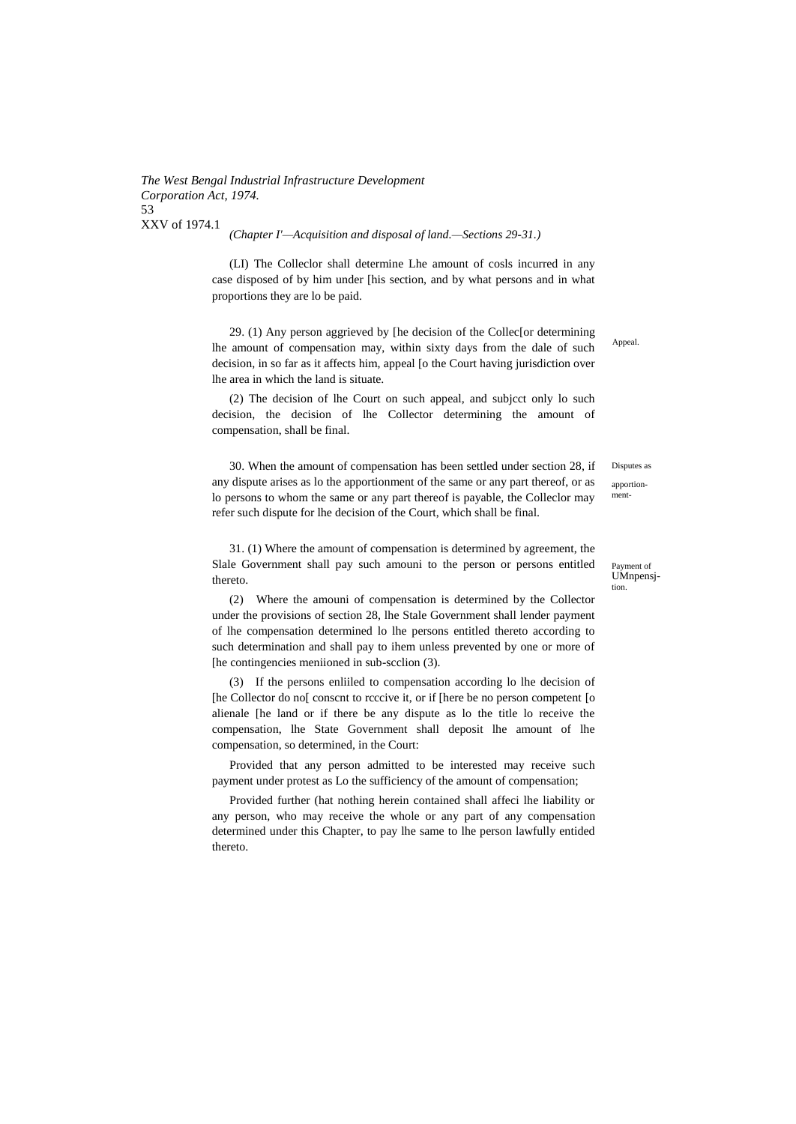*(Chapter I'—Acquisition and disposal of land.—Sections 29-31.)*

(LI) The Colleclor shall determine Lhe amount of cosls incurred in any case disposed of by him under [his section, and by what persons and in what proportions they are lo be paid.

29. (1) Any person aggrieved by [he decision of the Collec[or determining lhe amount of compensation may, within sixty days from the dale of such decision, in so far as it affects him, appeal [o the Court having jurisdiction over lhe area in which the land is situate.

(2) The decision of lhe Court on such appeal, and subjcct only lo such decision, the decision of lhe Collector determining the amount of compensation, shall be final.

30. When the amount of compensation has been settled under section 28, if any dispute arises as lo the apportionment of the same or any part thereof, or as lo persons to whom the same or any part thereof is payable, the Colleclor may refer such dispute for lhe decision of the Court, which shall be final.

31. (1) Where the amount of compensation is determined by agreement, the Slale Government shall pay such amouni to the person or persons entitled thereto.

(2) Where the amouni of compensation is determined by the Collector under the provisions of section 28, lhe Stale Government shall lender payment of lhe compensation determined lo lhe persons entitled thereto according to such determination and shall pay to ihem unless prevented by one or more of [he contingencies meniioned in sub-scclion (3).

(3) If the persons enliiled to compensation according lo lhe decision of [he Collector do no] conscnt to reccive it, or if [here be no person competent [o alienale [he land or if there be any dispute as lo the title lo receive the compensation, lhe State Government shall deposit lhe amount of lhe compensation, so determined, in the Court:

Provided that any person admitted to be interested may receive such payment under protest as Lo the sufficiency of the amount of compensation;

Provided further (hat nothing herein contained shall affeci lhe liability or any person, who may receive the whole or any part of any compensation determined under this Chapter, to pay lhe same to lhe person lawfully entided thereto.

Appeal.

Disputes as apportion-

ment-

Payment of UMnpensj-

tion.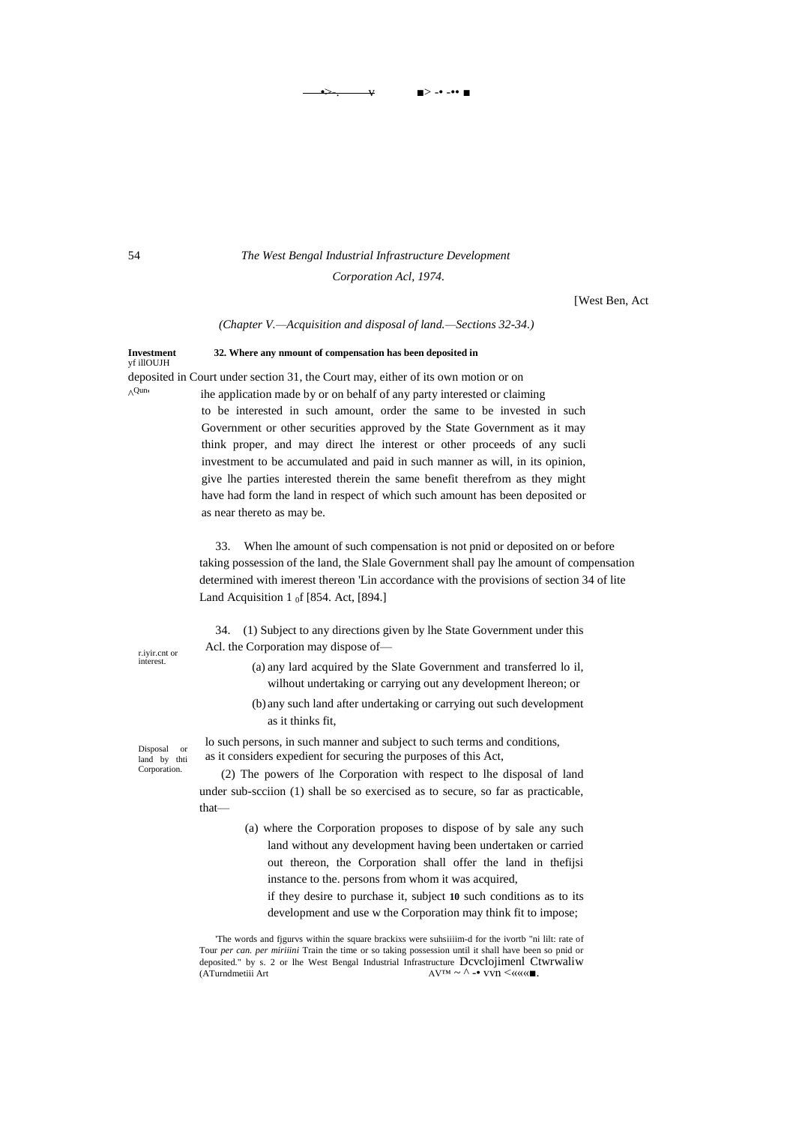## 54 *The West Bengal Industrial Infrastructure Development*

*Corporation Acl, 1974.*

•>-. v ■> -• -•• ■

[West Ben, Act

*(Chapter V.—Acquisition and disposal of land.—Sections 32-34.)*

**Investment 32. Where any nmount of compensation has been deposited in** yf illOUJH deposited in Court under section 31, the Court may, either of its own motion or on ^ Qun'

 ihe application made by or on behalf of any party interested or claiming to be interested in such amount, order the same to be invested in such Government or other securities approved by the State Government as it may think proper, and may direct lhe interest or other proceeds of any sucli investment to be accumulated and paid in such manner as will, in its opinion, give lhe parties interested therein the same benefit therefrom as they might have had form the land in respect of which such amount has been deposited or as near thereto as may be.

33. When lhe amount of such compensation is not pnid or deposited on or before taking possession of the land, the Slale Government shall pay lhe amount of compensation determined with imerest thereon 'Lin accordance with the provisions of section 34 of lite Land Acquisition 1  $_0$ f [854. Act, [894.]

34. (1) Subject to any directions given by lhe State Government under this Acl. the Corporation may dispose of—

> (a) any lard acquired by the Slate Government and transferred lo il, wilhout undertaking or carrying out any development lhereon; or

> (b) any such land after undertaking or carrying out such development as it thinks fit,

lo such persons, in such manner and subject to such terms and conditions, as it considers expedient for securing the purposes of this Act,

(2) The powers of lhe Corporation with respect to lhe disposal of land under sub-scciion (1) shall be so exercised as to secure, so far as practicable, that—

- (a) where the Corporation proposes to dispose of by sale any such land without any development having been undertaken or carried out thereon, the Corporation shall offer the land in thefijsi instance to the. persons from whom it was acquired,
	- if they desire to purchase it, subject **10** such conditions as to its development and use w the Corporation may think fit to impose;

'The words and fjgurvs within the square brackixs were suhsiiiim-d for the ivortb "ni lilt: rate of Tour *per can. per miriiini* Train the time or so taking possession until it shall have been so pnid or deposited." by s. 2 or lhe West Bengal Industrial Infrastructure Dcvclojimenl Ctwrwaliw (ATurndmetiii Art  $A$ V™ ~  $\land$  -• vvn <«««■.

r.iyir.cnt or interest.

Disposal or land by thti Corporation.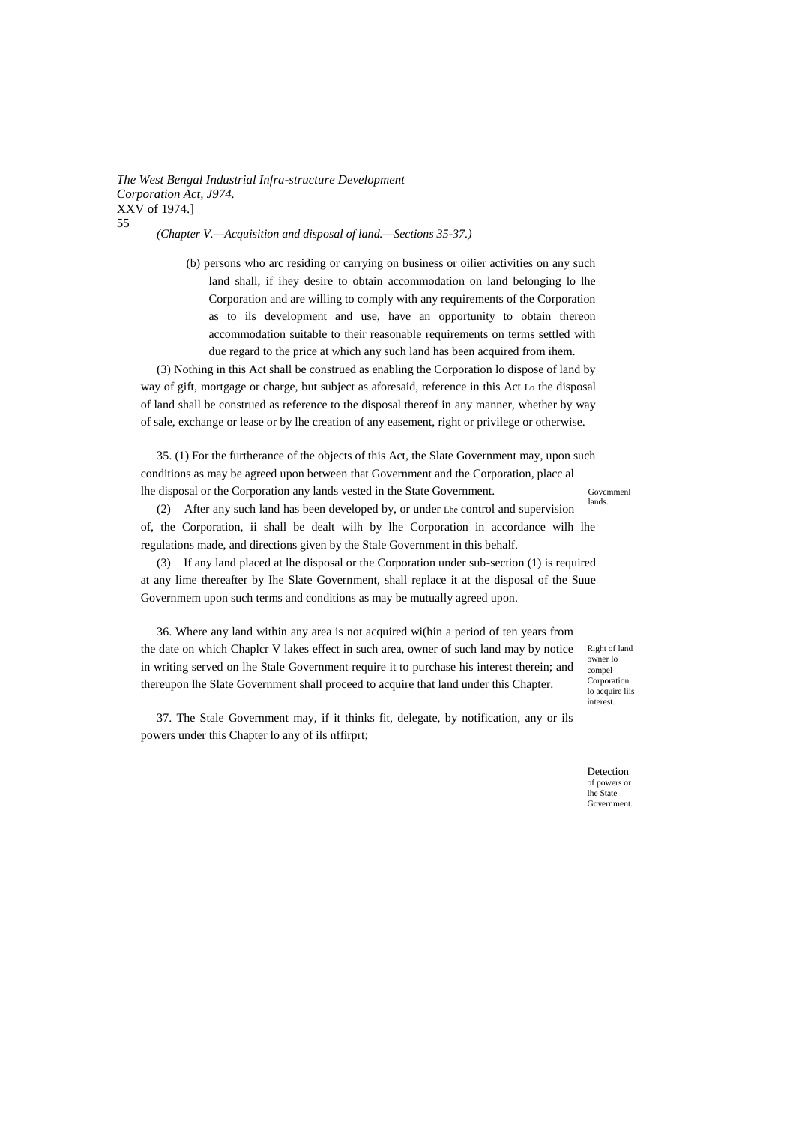*(Chapter V.—Acquisition and disposal of land.—Sections 35-37.)*

(b) persons who arc residing or carrying on business or oilier activities on any such land shall, if ihey desire to obtain accommodation on land belonging lo lhe Corporation and are willing to comply with any requirements of the Corporation as to ils development and use, have an opportunity to obtain thereon accommodation suitable to their reasonable requirements on terms settled with due regard to the price at which any such land has been acquired from ihem.

(3) Nothing in this Act shall be construed as enabling the Corporation lo dispose of land by way of gift, mortgage or charge, but subject as aforesaid, reference in this Act Lo the disposal of land shall be construed as reference to the disposal thereof in any manner, whether by way of sale, exchange or lease or by lhe creation of any easement, right or privilege or otherwise.

35. (1) For the furtherance of the objects of this Act, the Slate Government may, upon such conditions as may be agreed upon between that Government and the Corporation, placc al lhe disposal or the Corporation any lands vested in the State Government.

Govcmmenl lands.

(2) After any such land has been developed by, or under Lhe control and supervision of, the Corporation, ii shall be dealt wilh by lhe Corporation in accordance wilh lhe regulations made, and directions given by the Stale Government in this behalf.

(3) If any land placed at lhe disposal or the Corporation under sub-section (1) is required at any lime thereafter by Ihe Slate Government, shall replace it at the disposal of the Suue Governmem upon such terms and conditions as may be mutually agreed upon.

36. Where any land within any area is not acquired wi(hin a period of ten years from the date on which Chaplcr V lakes effect in such area, owner of such land may by notice in writing served on lhe Stale Government require it to purchase his interest therein; and thereupon lhe Slate Government shall proceed to acquire that land under this Chapter.

37. The Stale Government may, if it thinks fit, delegate, by notification, any or ils powers under this Chapter lo any of ils nffirprt;

Right of land owner lo compel Corporation lo acquire liis interest.

Detection of powers or lhe State **Government**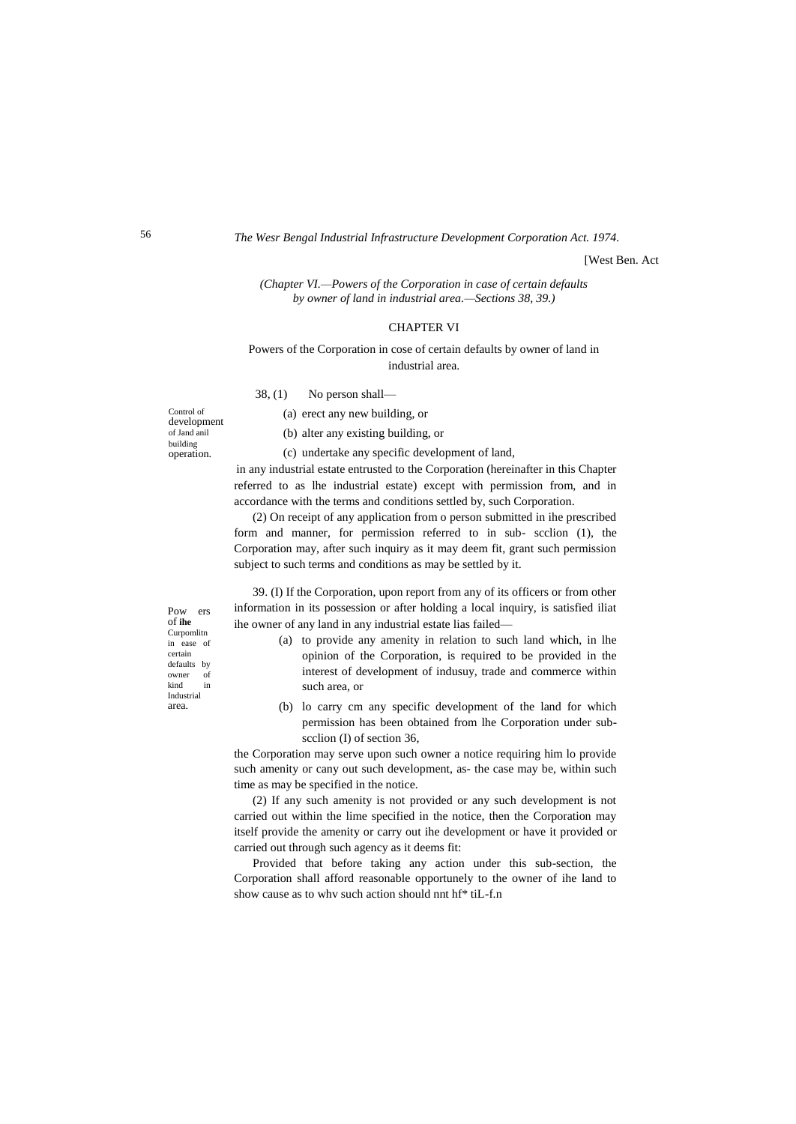[West Ben. Act

*(Chapter VI.—Powers of the Corporation in case of certain defaults by owner of land in industrial area.—Sections 38, 39.)*

#### CHAPTER VI

Powers of the Corporation in cose of certain defaults by owner of land in industrial area.

38, (1) No person shall—

Control of development of Jand anil building operation.

(a) erect any new building, or

(b) alter any existing building, or

(c) undertake any specific development of land,

in any industrial estate entrusted to the Corporation (hereinafter in this Chapter referred to as lhe industrial estate) except with permission from, and in accordance with the terms and conditions settled by, such Corporation.

(2) On receipt of any application from o person submitted in ihe prescribed form and manner, for permission referred to in sub- scclion (1), the Corporation may, after such inquiry as it may deem fit, grant such permission subject to such terms and conditions as may be settled by it.

39. (I) If the Corporation, upon report from any of its officers or from other information in its possession or after holding a local inquiry, is satisfied iliat ihe owner of any land in any industrial estate lias failed—

- (a) to provide any amenity in relation to such land which, in lhe opinion of the Corporation, is required to be provided in the interest of development of indusuy, trade and commerce within such area, or
- (b) lo carry cm any specific development of the land for which permission has been obtained from lhe Corporation under subscclion (I) of section 36,

the Corporation may serve upon such owner a notice requiring him lo provide such amenity or cany out such development, as- the case may be, within such time as may be specified in the notice.

(2) If any such amenity is not provided or any such development is not carried out within the lime specified in the notice, then the Corporation may itself provide the amenity or carry out ihe development or have it provided or carried out through such agency as it deems fit:

Provided that before taking any action under this sub-section, the Corporation shall afford reasonable opportunely to the owner of ihe land to show cause as to whv such action should nnt hf\* tiL-f.n

Pow ers of **ihe** Curpomlitn in ease of certain defaults by owner of kind in Industrial area.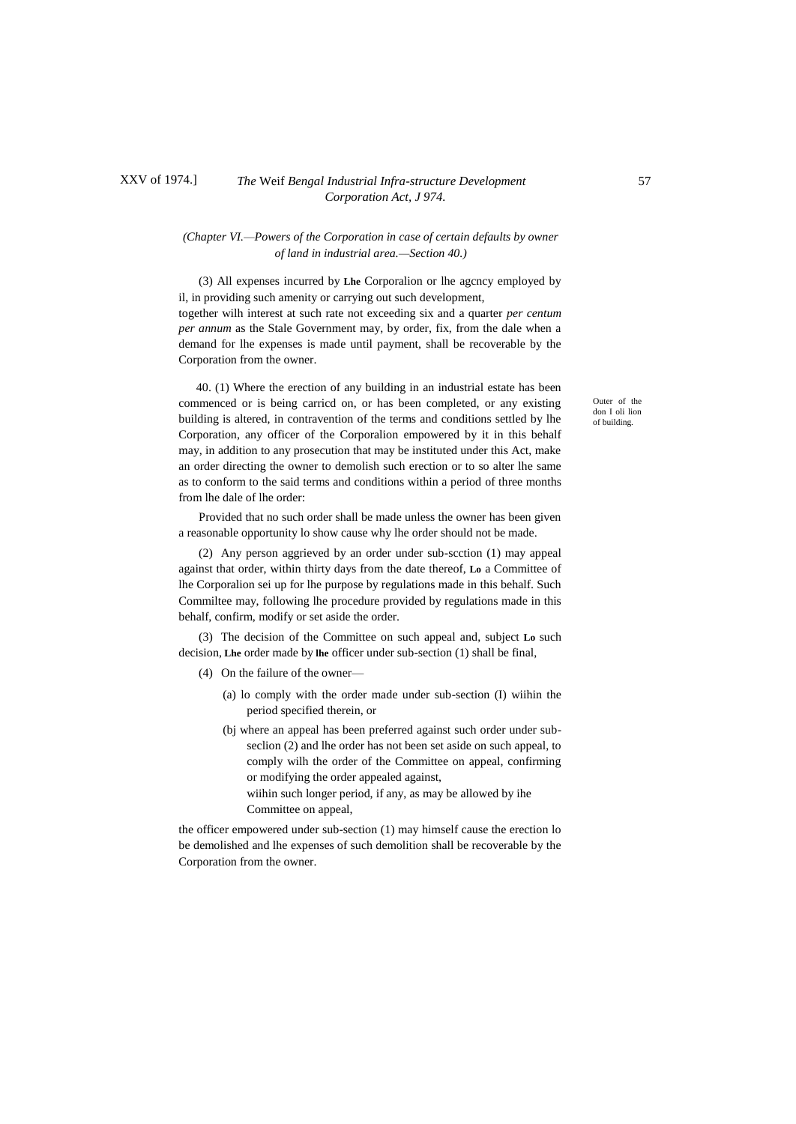## XXV of 1974.] *The* Weif *Bengal Industrial Infra-structure Development* 57 *Corporation Act, J 974.*

## *(Chapter VI.—Powers of the Corporation in case of certain defaults by owner of land in industrial area.—Section 40.)*

(3) All expenses incurred by **Lhe** Corporalion or lhe agcncy employed by il, in providing such amenity or carrying out such development, together wilh interest at such rate not exceeding six and a quarter *per centum per annum* as the Stale Government may, by order, fix, from the dale when a demand for lhe expenses is made until payment, shall be recoverable by the Corporation from the owner.

40. (1) Where the erection of any building in an industrial estate has been commenced or is being carricd on, or has been completed, or any existing building is altered, in contravention of the terms and conditions settled by lhe Corporation, any officer of the Corporalion empowered by it in this behalf may, in addition to any prosecution that may be instituted under this Act, make an order directing the owner to demolish such erection or to so alter lhe same as to conform to the said terms and conditions within a period of three months from lhe dale of lhe order:

Provided that no such order shall be made unless the owner has been given a reasonable opportunity lo show cause why lhe order should not be made.

(2) Any person aggrieved by an order under sub-scction (1) may appeal against that order, within thirty days from the date thereof, **Lo** a Committee of lhe Corporalion sei up for lhe purpose by regulations made in this behalf. Such Commiltee may, following lhe procedure provided by regulations made in this behalf, confirm, modify or set aside the order.

(3) The decision of the Committee on such appeal and, subject **Lo** such decision, **Lhe** order made by **lhe** officer under sub-section (1) shall be final,

- (4) On the failure of the owner—
	- (a) lo comply with the order made under sub-section (I) wiihin the period specified therein, or
	- (bj where an appeal has been preferred against such order under subseclion (2) and lhe order has not been set aside on such appeal, to comply wilh the order of the Committee on appeal, confirming or modifying the order appealed against,
		- wiihin such longer period, if any, as may be allowed by ihe Committee on appeal,

the officer empowered under sub-section (1) may himself cause the erection lo be demolished and lhe expenses of such demolition shall be recoverable by the Corporation from the owner.

Outer of the don I oli lion of building.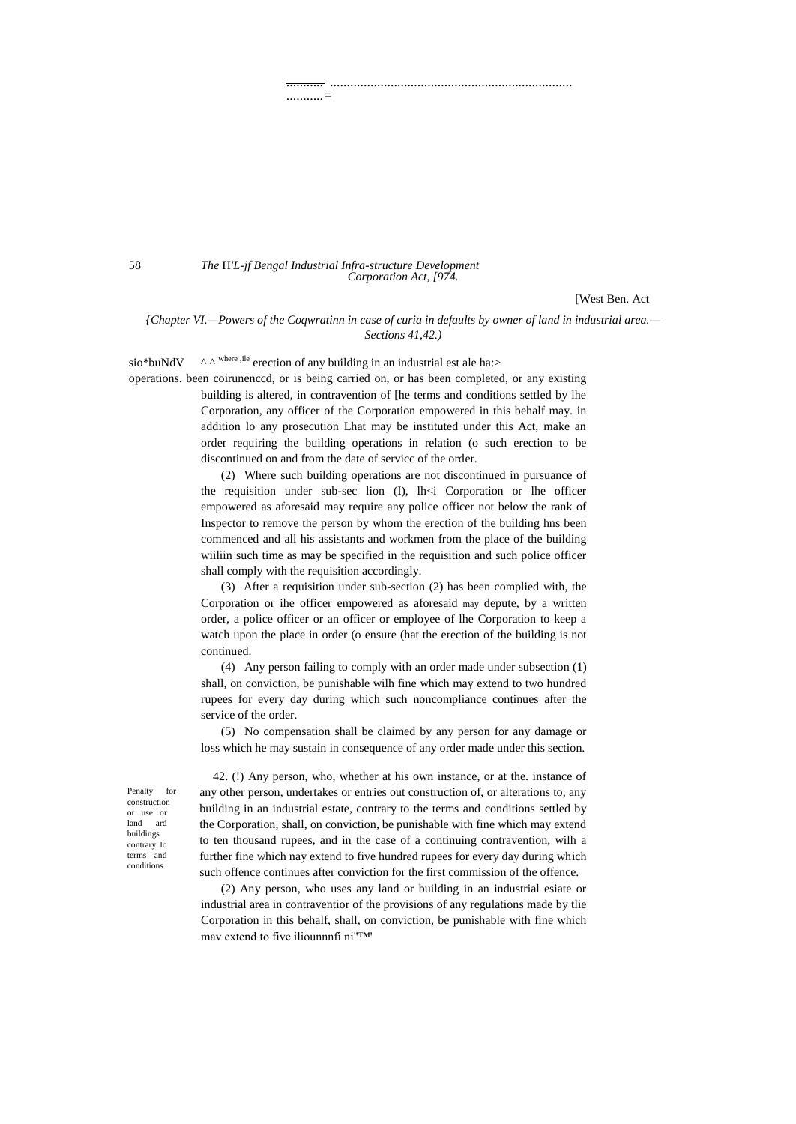........... ........................................................................

...........=

58 *The* H*'L-jf Bengal Industrial Infra-structure Development Corporation Act, [974.*

[West Ben. Act

*{Chapter VI.—Powers of the Coqwratinn in case of curia in defaults by owner of land in industrial area.— Sections 41,42.)*

sio\*buNdV  $\wedge \wedge$ <sup>where ,ile</sup> erection of any building in an industrial est ale ha:>

operations. been coirunenccd, or is being carried on, or has been completed, or any existing building is altered, in contravention of [he terms and conditions settled by lhe Corporation, any officer of the Corporation empowered in this behalf may. in addition lo any prosecution Lhat may be instituted under this Act, make an order requiring the building operations in relation (o such erection to be discontinued on and from the date of servicc of the order.

> (2) Where such building operations are not discontinued in pursuance of the requisition under sub-sec lion  $(I)$ ,  $lh < i$  Corporation or lhe officer empowered as aforesaid may require any police officer not below the rank of Inspector to remove the person by whom the erection of the building hns been commenced and all his assistants and workmen from the place of the building wiiliin such time as may be specified in the requisition and such police officer shall comply with the requisition accordingly.

> (3) After a requisition under sub-section (2) has been complied with, the Corporation or ihe officer empowered as aforesaid may depute, by a written order, a police officer or an officer or employee of lhe Corporation to keep a watch upon the place in order (o ensure (hat the erection of the building is not continued.

> (4) Any person failing to comply with an order made under subsection (1) shall, on conviction, be punishable wilh fine which may extend to two hundred rupees for every day during which such noncompliance continues after the service of the order.

> (5) No compensation shall be claimed by any person for any damage or loss which he may sustain in consequence of any order made under this section.

Penalty for construction or use or land ard buildings contrary lo terms and conditions.

42. (!) Any person, who, whether at his own instance, or at the. instance of any other person, undertakes or entries out construction of, or alterations to, any building in an industrial estate, contrary to the terms and conditions settled by the Corporation, shall, on conviction, be punishable with fine which may extend to ten thousand rupees, and in the case of a continuing contravention, wilh a further fine which nay extend to five hundred rupees for every day during which such offence continues after conviction for the first commission of the offence.

(2) Any person, who uses any land or building in an industrial esiate or industrial area in contraventior of the provisions of any regulations made by tlie Corporation in this behalf, shall, on conviction, be punishable with fine which mav extend to five iliounnnfi ni"™'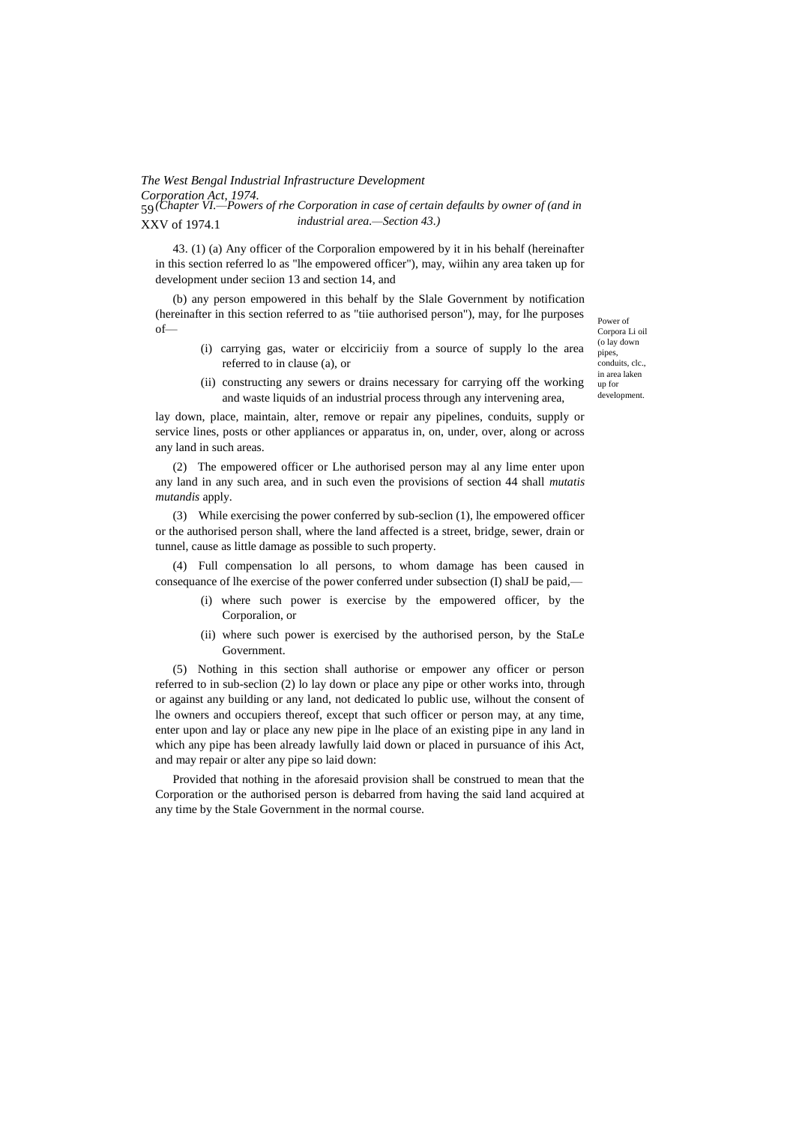#### *The West Bengal Industrial Infrastructure Development Corporation Act, 1974.* 59 *(Chapter VI.—Powers of rhe Corporation in case of certain defaults by owner of (and in*  XXV of 1974.1 *industrial area.—Section 43.)*

43. (1) (a) Any officer of the Corporalion empowered by it in his behalf (hereinafter in this section referred lo as "lhe empowered officer"), may, wiihin any area taken up for development under seciion 13 and section 14, and

(b) any person empowered in this behalf by the Slale Government by notification (hereinafter in this section referred to as "tiie authorised person"), may, for lhe purposes of—

> (i) carrying gas, water or elcciriciiy from a source of supply lo the area referred to in clause (a), or

Power of Corpora Li oil (o lay down pipes, conduits, clc., in area laken up for development.

(ii) constructing any sewers or drains necessary for carrying off the working and waste liquids of an industrial process through any intervening area,

lay down, place, maintain, alter, remove or repair any pipelines, conduits, supply or service lines, posts or other appliances or apparatus in, on, under, over, along or across any land in such areas.

(2) The empowered officer or Lhe authorised person may al any lime enter upon any land in any such area, and in such even the provisions of section 44 shall *mutatis mutandis* apply.

(3) While exercising the power conferred by sub-seclion (1), lhe empowered officer or the authorised person shall, where the land affected is a street, bridge, sewer, drain or tunnel, cause as little damage as possible to such property.

(4) Full compensation lo all persons, to whom damage has been caused in consequance of lhe exercise of the power conferred under subsection (I) shalJ be paid,—

- (i) where such power is exercise by the empowered officer, by the Corporalion, or
- (ii) where such power is exercised by the authorised person, by the StaLe Government.

(5) Nothing in this section shall authorise or empower any officer or person referred to in sub-seclion (2) lo lay down or place any pipe or other works into, through or against any building or any land, not dedicated lo public use, wilhout the consent of lhe owners and occupiers thereof, except that such officer or person may, at any time, enter upon and lay or place any new pipe in lhe place of an existing pipe in any land in which any pipe has been already lawfully laid down or placed in pursuance of ihis Act, and may repair or alter any pipe so laid down:

Provided that nothing in the aforesaid provision shall be construed to mean that the Corporation or the authorised person is debarred from having the said land acquired at any time by the Stale Government in the normal course.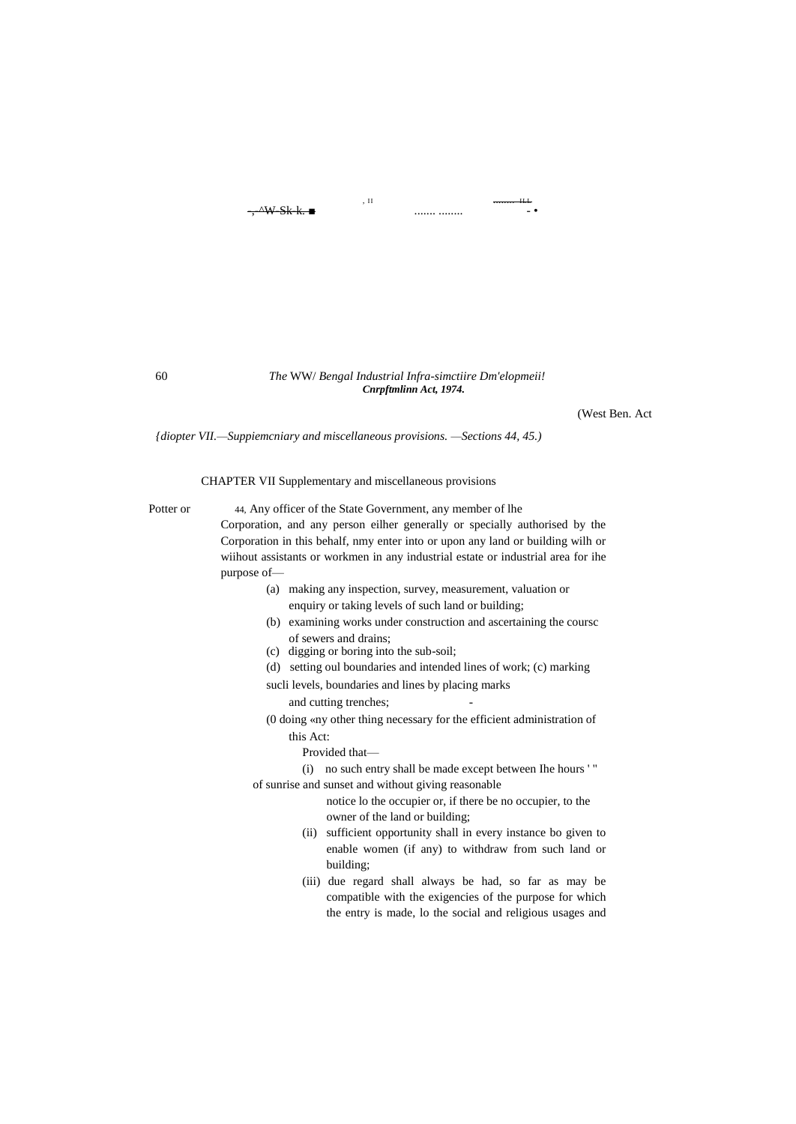#### , II <del>.........</del> **ILL** -,-^W-Sk-k. ■ ....... ........ - •

(West Ben. Act

*{diopter VII.—Suppiemcniary and miscellaneous provisions. —Sections 44, 45.)*

CHAPTER VII Supplementary and miscellaneous provisions

Potter or 44, Any officer of the State Government, any member of lhe Corporation, and any person eilher generally or specially authorised by the Corporation in this behalf, nmy enter into or upon any land or building wilh or wiihout assistants or workmen in any industrial estate or industrial area for ihe purpose of—

> (a) making any inspection, survey, measurement, valuation or enquiry or taking levels of such land or building;

*Cnrpftmlinn Act, 1974.*

- (b) examining works under construction and ascertaining the coursc of sewers and drains;
- (c) digging or boring into the sub-soil;
- (d) setting oul boundaries and intended lines of work; (c) marking
- sucli levels, boundaries and lines by placing marks
	- and cutting trenches;
- (0 doing «ny other thing necessary for the efficient administration of this Act:
	- Provided that—
- (i) no such entry shall be made except between Ihe hours ' " of sunrise and sunset and without giving reasonable
	- notice lo the occupier or, if there be no occupier, to the owner of the land or building;
	- (ii) sufficient opportunity shall in every instance bo given to enable women (if any) to withdraw from such land or building;
	- (iii) due regard shall always be had, so far as may be compatible with the exigencies of the purpose for which the entry is made, lo the social and religious usages and

60 *The* WW/ *Bengal Industrial Infra-simctiire Dm'elopmeii!*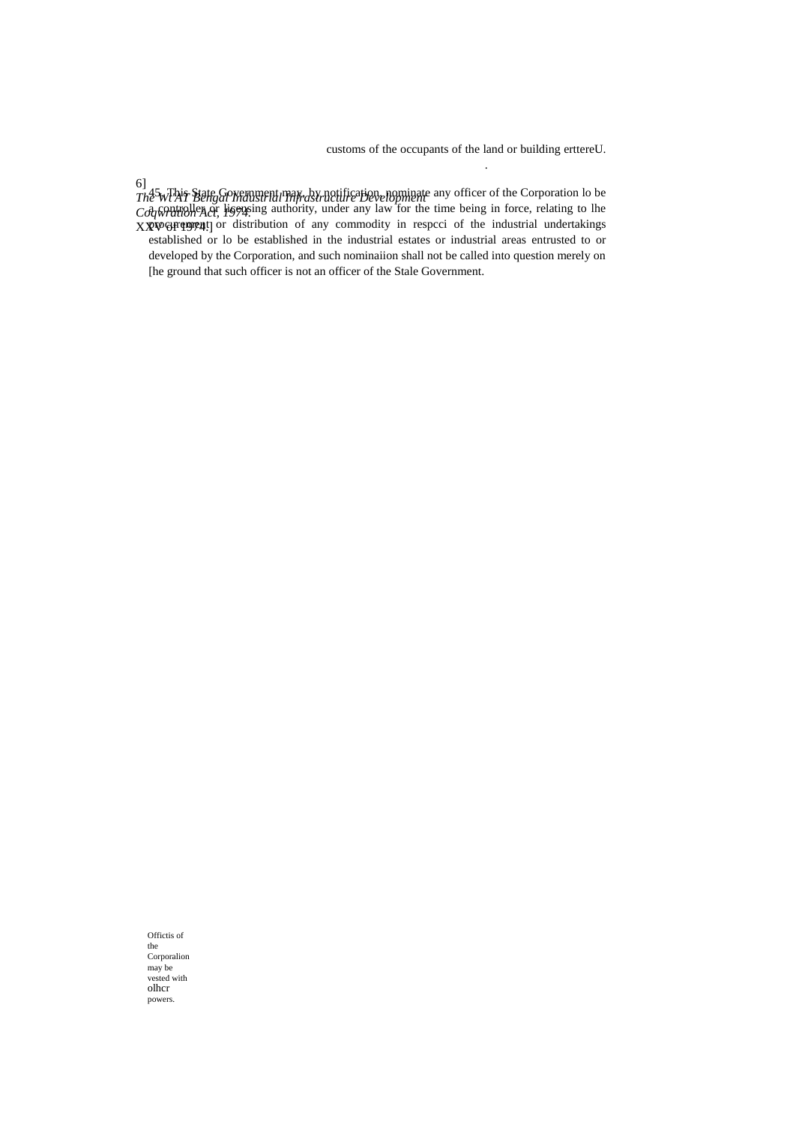customs of the occupants of the land or building erttereU.

.

6] *The Wt'AT Bengal Industrial Infrastructure Development Coqwration Act, 1974.* XXVV&FFq!!!!!! 45. This State Government may, by notification, nominate any officer of the Corporation lo be  $\partial_t$  controller  $\partial_t$  liquid authority, under any law for the time being in force, relating to lhe procurement or distribution of any commodity in respeci of the industrial undertakings established or lo be established in the industrial estates or industrial areas entrusted to or developed by the Corporation, and such nominaiion shall not be called into question merely on [he ground that such officer is not an officer of the Stale Government.

Offictis of the Corporalion may be vested with olhcr powers.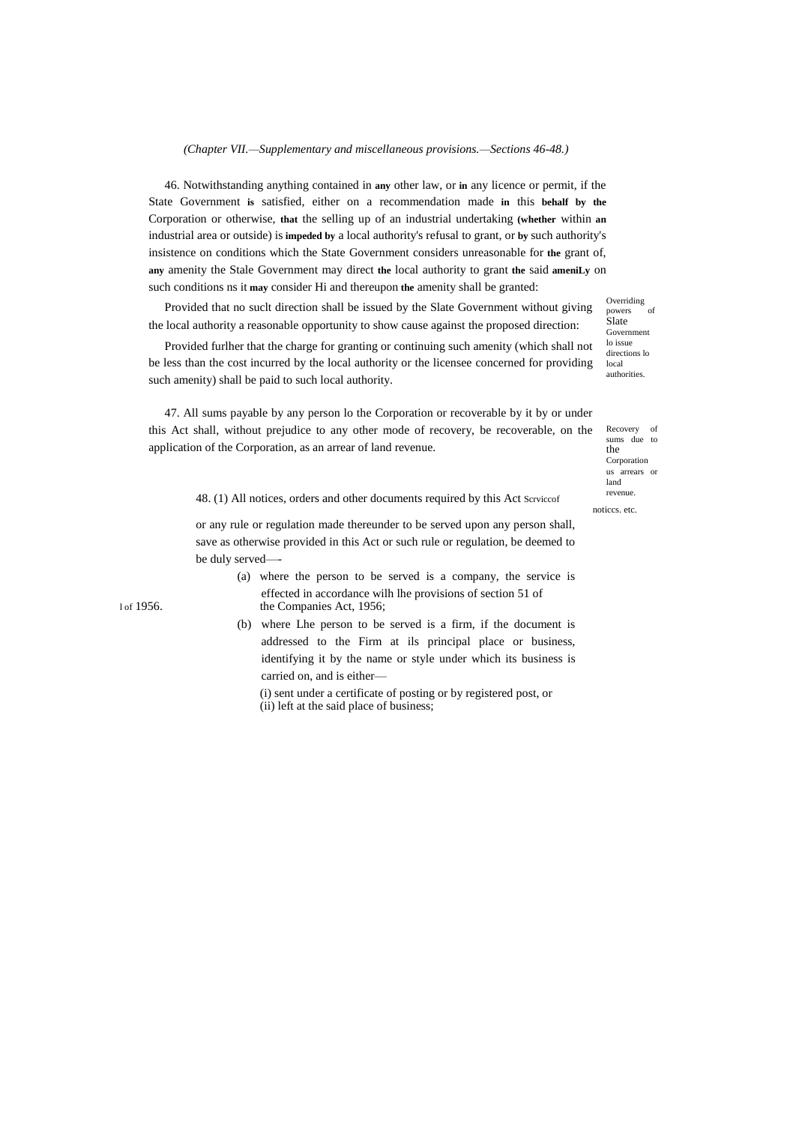*(Chapter VII.—Supplementary and miscellaneous provisions.—Sections 46-48.)*

46. Notwithstanding anything contained in **any** other law, or **in** any licence or permit, if the State Government **is** satisfied, either on a recommendation made **in** this **behalf by the** Corporation or otherwise, **that** the selling up of an industrial undertaking **(whether** within **an** industrial area or outside) is **impeded by** a local authority's refusal to grant, or **by** such authority's insistence on conditions which the State Government considers unreasonable for **the** grant of, **any** amenity the Stale Government may direct **the** local authority to grant **the** said **ameniLy** on such conditions ns it **may** consider Hi and thereupon **the** amenity shall be granted:

Provided that no suclt direction shall be issued by the Slate Government without giving the local authority a reasonable opportunity to show cause against the proposed direction:

Provided furlher that the charge for granting or continuing such amenity (which shall not be less than the cost incurred by the local authority or the licensee concerned for providing such amenity) shall be paid to such local authority.

47. All sums payable by any person lo the Corporation or recoverable by it by or under this Act shall, without prejudice to any other mode of recovery, be recoverable, on the application of the Corporation, as an arrear of land revenue.

Overriding<br>powers of powers of Slate Government lo issue directions lo local authorities.

Recovery of sums due to the Corporation us arrears or land revenue.

noticcs. etc.

48. (1) All notices, orders and other documents required by this Act Scrviccof

or any rule or regulation made thereunder to be served upon any person shall, save as otherwise provided in this Act or such rule or regulation, be deemed to be duly served—-

(a) where the person to be served is a company, the service is effected in accordance wilh lhe provisions of section 51 of 1 of 1956. the Companies Act, 1956;

> (b) where Lhe person to be served is a firm, if the document is addressed to the Firm at ils principal place or business, identifying it by the name or style under which its business is carried on, and is either—

(i) sent under a certificate of posting or by registered post, or (ii) left at the said place of business;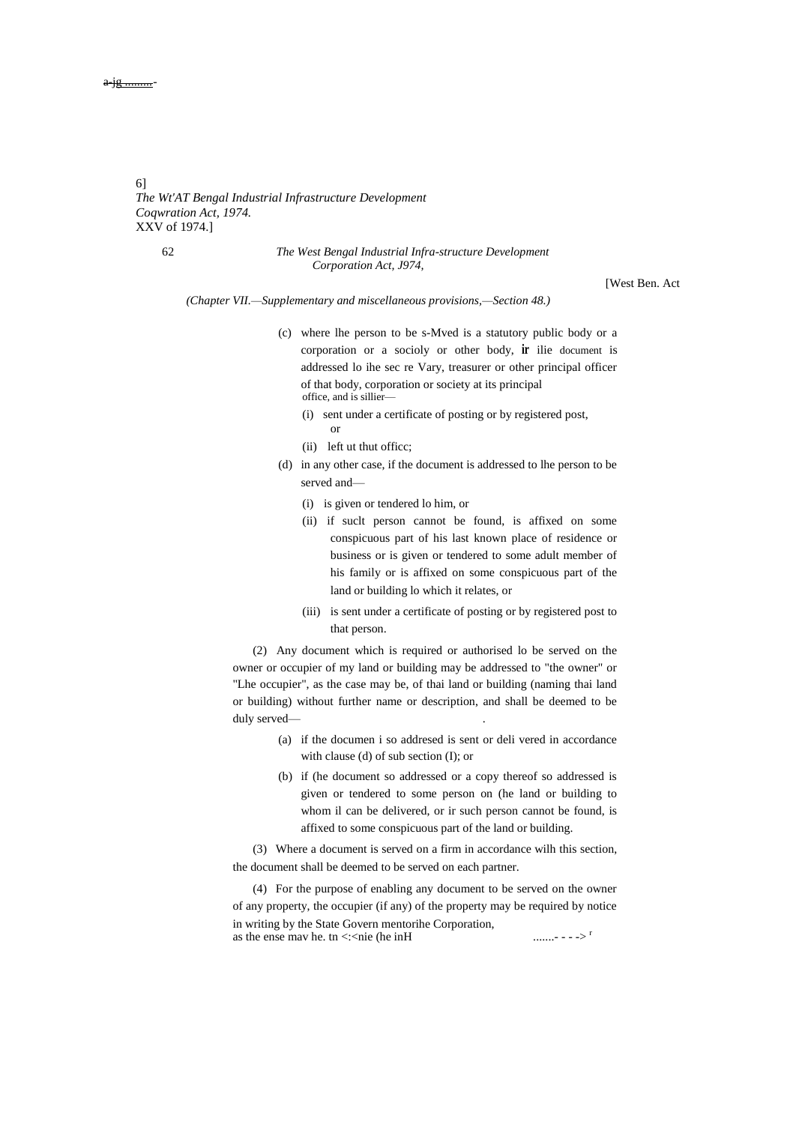6] *The Wt'AT Bengal Industrial Infrastructure Development Coqwration Act, 1974.* XXV of 1974.]

#### 62 *The West Bengal Industrial Infra-structure Development Corporation Act, J974,*

[West Ben. Act

*(Chapter VII.—Supplementary and miscellaneous provisions,—Section 48.)*

- (c) where lhe person to be s-Mved is a statutory public body or a corporation or a socioly or other body, **ir** ilie document is addressed lo ihe sec re Vary, treasurer or other principal officer of that body, corporation or society at its principal office, and is sillier—
	- (i) sent under a certificate of posting or by registered post, or
	- (ii) left ut thut officc;
- (d) in any other case, if the document is addressed to lhe person to be served and—
	- (i) is given or tendered lo him, or
	- (ii) if suclt person cannot be found, is affixed on some conspicuous part of his last known place of residence or business or is given or tendered to some adult member of his family or is affixed on some conspicuous part of the land or building lo which it relates, or
	- (iii) is sent under a certificate of posting or by registered post to that person.

(2) Any document which is required or authorised lo be served on the owner or occupier of my land or building may be addressed to "the owner" or "Lhe occupier", as the case may be, of thai land or building (naming thai land or building) without further name or description, and shall be deemed to be duly served-

- (a) if the documen i so addresed is sent or deli vered in accordance with clause (d) of sub section (I); or
- (b) if (he document so addressed or a copy thereof so addressed is given or tendered to some person on (he land or building to whom il can be delivered, or ir such person cannot be found, is affixed to some conspicuous part of the land or building.

(3) Where a document is served on a firm in accordance wilh this section, the document shall be deemed to be served on each partner.

(4) For the purpose of enabling any document to be served on the owner of any property, the occupier (if any) of the property may be required by notice in writing by the State Govern mentorihe Corporation, as the ense mav he. tn <:<nie (he inH .......- - - -> <sup>r</sup>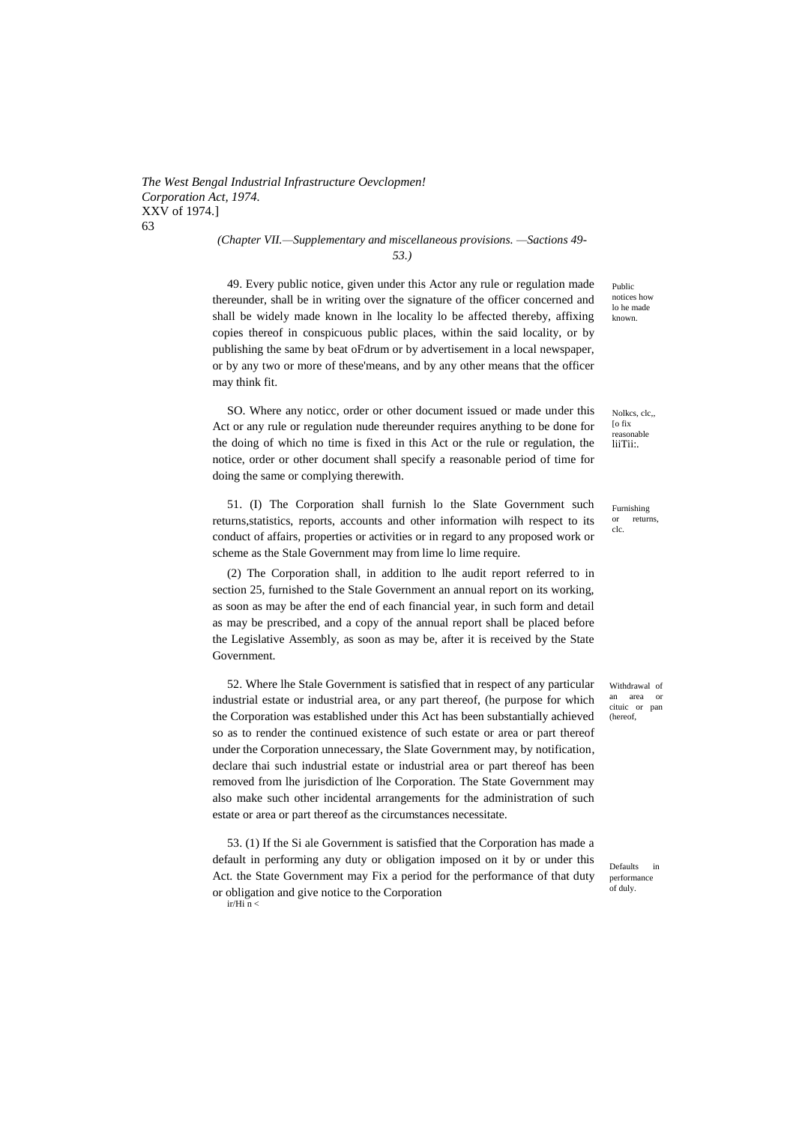*The West Bengal Industrial Infrastructure Oevclopmen! Corporation Act, 1974.* XXV of 1974.] 63

*(Chapter VII.—Supplementary and miscellaneous provisions. —Sactions 49- 53.)*

49. Every public notice, given under this Actor any rule or regulation made thereunder, shall be in writing over the signature of the officer concerned and shall be widely made known in lhe locality lo be affected thereby, affixing copies thereof in conspicuous public places, within the said locality, or by publishing the same by beat oFdrum or by advertisement in a local newspaper, or by any two or more of these'means, and by any other means that the officer may think fit.

SO. Where any noticc, order or other document issued or made under this Act or any rule or regulation nude thereunder requires anything to be done for the doing of which no time is fixed in this Act or the rule or regulation, the notice, order or other document shall specify a reasonable period of time for doing the same or complying therewith.

51. (I) The Corporation shall furnish lo the Slate Government such returns,statistics, reports, accounts and other information wilh respect to its conduct of affairs, properties or activities or in regard to any proposed work or scheme as the Stale Government may from lime lo lime require.

(2) The Corporation shall, in addition to lhe audit report referred to in section 25, furnished to the Stale Government an annual report on its working, as soon as may be after the end of each financial year, in such form and detail as may be prescribed, and a copy of the annual report shall be placed before the Legislative Assembly, as soon as may be, after it is received by the State Government.

52. Where lhe Stale Government is satisfied that in respect of any particular industrial estate or industrial area, or any part thereof, (he purpose for which the Corporation was established under this Act has been substantially achieved so as to render the continued existence of such estate or area or part thereof under the Corporation unnecessary, the Slate Government may, by notification, declare thai such industrial estate or industrial area or part thereof has been removed from lhe jurisdiction of lhe Corporation. The State Government may also make such other incidental arrangements for the administration of such estate or area or part thereof as the circumstances necessitate.

53. (1) If the Si ale Government is satisfied that the Corporation has made a default in performing any duty or obligation imposed on it by or under this Act. the State Government may Fix a period for the performance of that duty or obligation and give notice to the Corporation  $ir/Hi \overline{n}$  <

Public notices how lo he made known.

Nolkcs, clc,, [o fix reasonable liiTii:.

Furnishing or returns, clc.

Withdrawal of an area or cituic or pan (hereof,

Defaults in performance of duly.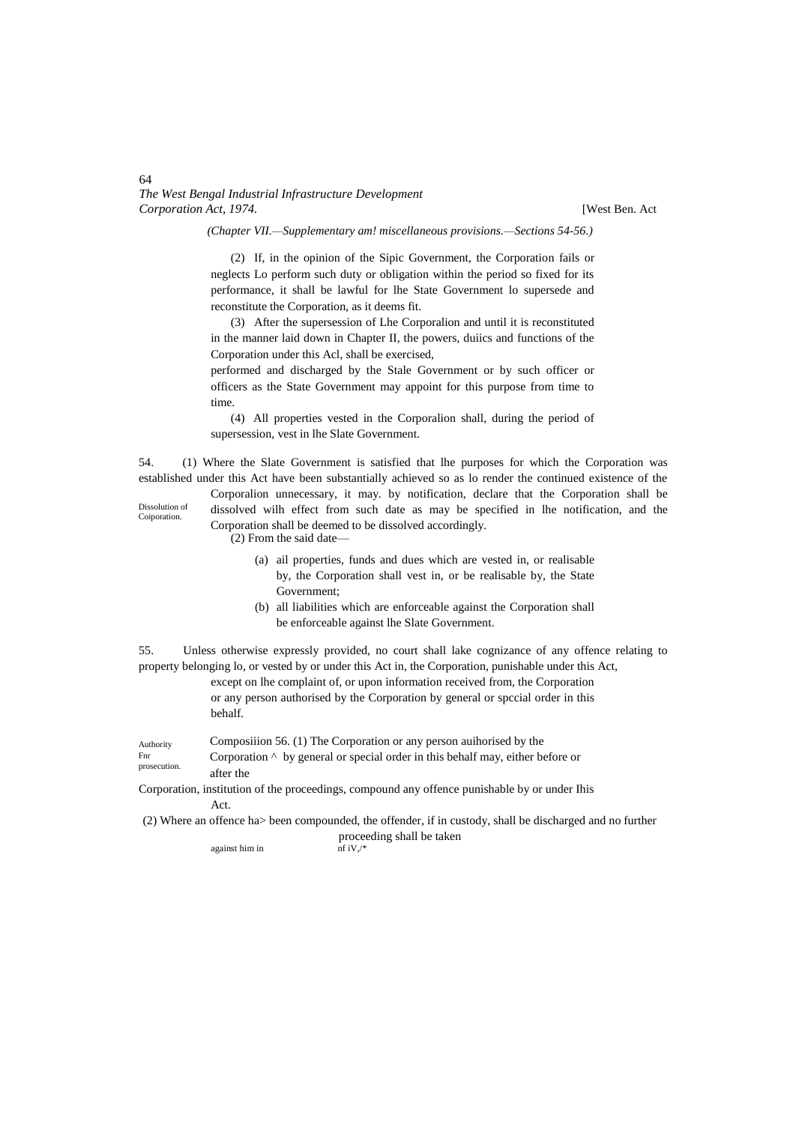[West Ben. Act

*(Chapter VII.—Supplementary am! miscellaneous provisions.—Sections 54-56.)*

(2) If, in the opinion of the Sipic Government, the Corporation fails or neglects Lo perform such duty or obligation within the period so fixed for its performance, it shall be lawful for lhe State Government lo supersede and reconstitute the Corporation, as it deems fit.

(3) After the supersession of Lhe Corporalion and until it is reconstituted in the manner laid down in Chapter II, the powers, duiics and functions of the Corporation under this Acl, shall be exercised,

performed and discharged by the Stale Government or by such officer or officers as the State Government may appoint for this purpose from time to time.

(4) All properties vested in the Corporalion shall, during the period of supersession, vest in lhe Slate Government.

54. (1) Where the Slate Government is satisfied that lhe purposes for which the Corporation was established under this Act have been substantially achieved so as lo render the continued existence of the

Dissolution of **Coiporation** 

dissolved wilh effect from such date as may be specified in lhe notification, and the Corporation shall be deemed to be dissolved accordingly. (2) From the said date—

(a) ail properties, funds and dues which are vested in, or realisable by, the Corporation shall vest in, or be realisable by, the State Government;

Corporalion unnecessary, it may. by notification, declare that the Corporation shall be

(b) all liabilities which are enforceable against the Corporation shall be enforceable against lhe Slate Government.

55. Unless otherwise expressly provided, no court shall lake cognizance of any offence relating to property belonging lo, or vested by or under this Act in, the Corporation, punishable under this Act,

except on lhe complaint of, or upon information received from, the Corporation or any person authorised by the Corporation by general or spccial order in this behalf.

Authority Composiiion 56. (1) The Corporation or any person auihorised by the

Fnr prosecution. Corporation ^ by general or special order in this behalf may, either before or after the

Corporation, institution of the proceedings, compound any offence punishable by or under Ihis Act.

(2) Where an offence ha> been compounded, the offender, if in custody, shall be discharged and no further

proceeding shall be taken

against him in  $nf iV.$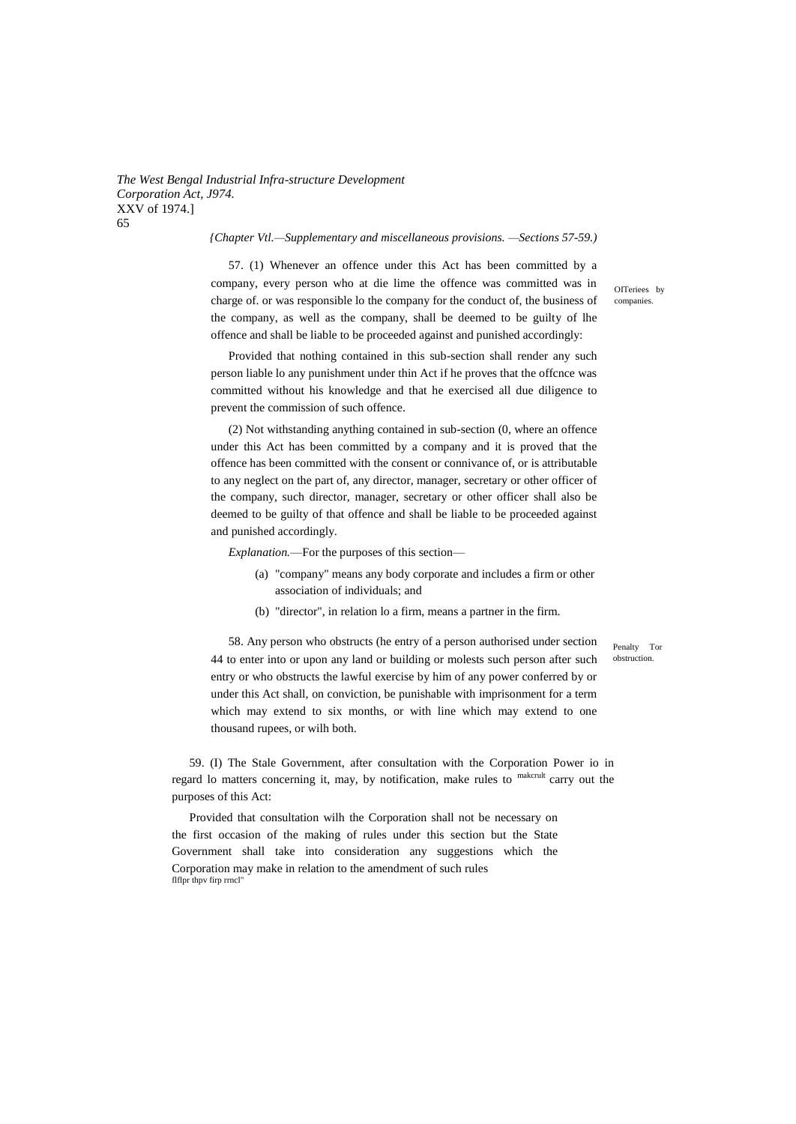### *{Chapter Vtl.—Supplementary and miscellaneous provisions. —Sections 57-59.)*

57. (1) Whenever an offence under this Act has been committed by a company, every person who at die lime the offence was committed was in charge of. or was responsible lo the company for the conduct of, the business of the company, as well as the company, shall be deemed to be guilty of lhe offence and shall be liable to be proceeded against and punished accordingly:

Provided that nothing contained in this sub-section shall render any such person liable lo any punishment under thin Act if he proves that the offcnce was committed without his knowledge and that he exercised all due diligence to prevent the commission of such offence.

(2) Not withstanding anything contained in sub-section (0, where an offence under this Act has been committed by a company and it is proved that the offence has been committed with the consent or connivance of, or is attributable to any neglect on the part of, any director, manager, secretary or other officer of the company, such director, manager, secretary or other officer shall also be deemed to be guilty of that offence and shall be liable to be proceeded against and punished accordingly.

*Explanation.*—For the purposes of this section—

- (a) "company" means any body corporate and includes a firm or other association of individuals; and
- (b) "director", in relation lo a firm, means a partner in the firm.

58. Any person who obstructs (he entry of a person authorised under section 44 to enter into or upon any land or building or molests such person after such entry or who obstructs the lawful exercise by him of any power conferred by or under this Act shall, on conviction, be punishable with imprisonment for a term which may extend to six months, or with line which may extend to one thousand rupees, or wilh both.

59. (I) The Stale Government, after consultation with the Corporation Power io in regard lo matters concerning it, may, by notification, make rules to makerult carry out the purposes of this Act:

Provided that consultation wilh the Corporation shall not be necessary on the first occasion of the making of rules under this section but the State Government shall take into consideration any suggestions which the Corporation may make in relation to the amendment of such rules flflpr thpv firp rrncl'

OITeriees by companies.

Penalty Tor obstruction.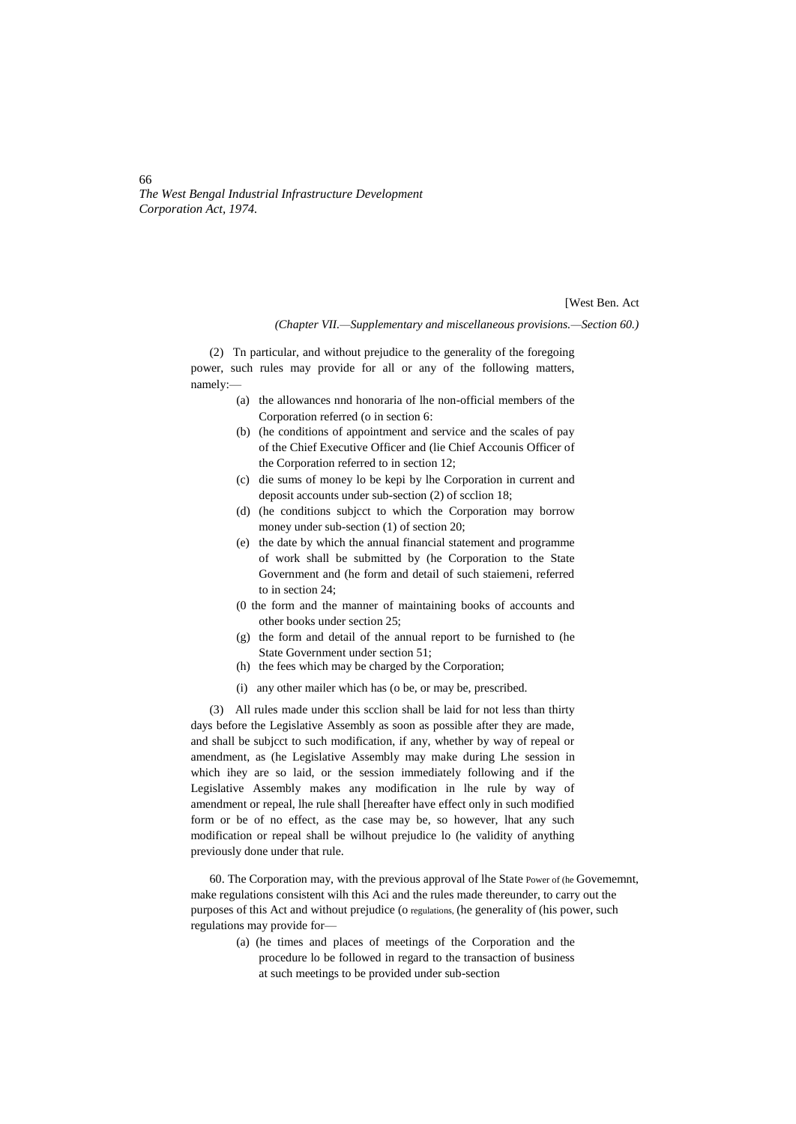[West Ben. Act

*(Chapter VII.—Supplementary and miscellaneous provisions.—Section 60.)*

(2) Tn particular, and without prejudice to the generality of the foregoing power, such rules may provide for all or any of the following matters, namely:—

- (a) the allowances nnd honoraria of lhe non-official members of the Corporation referred (o in section 6:
- (b) (he conditions of appointment and service and the scales of pay of the Chief Executive Officer and (lie Chief Accounis Officer of the Corporation referred to in section 12;
- (c) die sums of money lo be kepi by lhe Corporation in current and deposit accounts under sub-section (2) of scclion 18;
- (d) (he conditions subjcct to which the Corporation may borrow money under sub-section (1) of section 20;
- (e) the date by which the annual financial statement and programme of work shall be submitted by (he Corporation to the State Government and (he form and detail of such staiemeni, referred to in section 24;
- (0 the form and the manner of maintaining books of accounts and other books under section 25;
- (g) the form and detail of the annual report to be furnished to (he State Government under section 51;
- (h) the fees which may be charged by the Corporation;
- (i) any other mailer which has (o be, or may be, prescribed.

(3) All rules made under this scclion shall be laid for not less than thirty days before the Legislative Assembly as soon as possible after they are made, and shall be subjcct to such modification, if any, whether by way of repeal or amendment, as (he Legislative Assembly may make during Lhe session in which ihey are so laid, or the session immediately following and if the Legislative Assembly makes any modification in lhe rule by way of amendment or repeal, lhe rule shall [hereafter have effect only in such modified form or be of no effect, as the case may be, so however, lhat any such modification or repeal shall be wilhout prejudice lo (he validity of anything previously done under that rule.

60. The Corporation may, with the previous approval of lhe State Power of (he Govememnt, make regulations consistent wilh this Aci and the rules made thereunder, to carry out the purposes of this Act and without prejudice (o regulations, (he generality of (his power, such regulations may provide for—

(a) (he times and places of meetings of the Corporation and the procedure lo be followed in regard to the transaction of business at such meetings to be provided under sub-section

66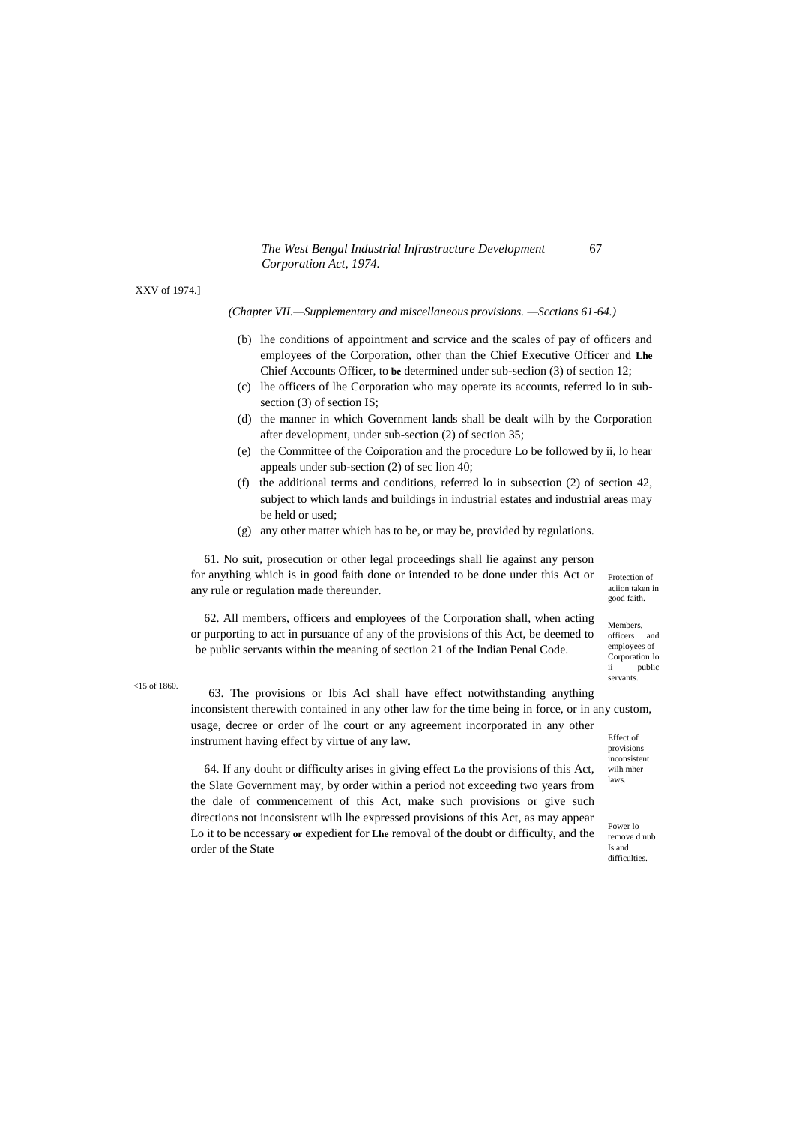XXV of 1974.]

*(Chapter VII.—Supplementary and miscellaneous provisions. —Scctians 61-64.)*

- (b) lhe conditions of appointment and scrvice and the scales of pay of officers and employees of the Corporation, other than the Chief Executive Officer and **Lhe** Chief Accounts Officer, to **be** determined under sub-seclion (3) of section 12;
- (c) lhe officers of lhe Corporation who may operate its accounts, referred lo in subsection (3) of section IS;
- (d) the manner in which Government lands shall be dealt wilh by the Corporation after development, under sub-section (2) of section 35;
- (e) the Committee of the Coiporation and the procedure Lo be followed by ii, lo hear appeals under sub-section (2) of sec lion 40;
- (f) the additional terms and conditions, referred lo in subsection (2) of section 42, subject to which lands and buildings in industrial estates and industrial areas may be held or used;
- (g) any other matter which has to be, or may be, provided by regulations.

61. No suit, prosecution or other legal proceedings shall lie against any person for anything which is in good faith done or intended to be done under this Act or any rule or regulation made thereunder.

Protection of aciion taken in good faith.

62. All members, officers and employees of the Corporation shall, when acting or purporting to act in pursuance of any of the provisions of this Act, be deemed to be public servants within the meaning of section 21 of the Indian Penal Code.

Members, officers and employees of Corporation lo public servants.

<15 of 1860.

Effect of 63. The provisions or Ibis Acl shall have effect notwithstanding anything inconsistent therewith contained in any other law for the time being in force, or in any custom, usage, decree or order of lhe court or any agreement incorporated in any other instrument having effect by virtue of any law.

provisions inconsistent wilh mher laws.

64. If any douht or difficulty arises in giving effect **Lo** the provisions of this Act, the Slate Government may, by order within a period not exceeding two years from the dale of commencement of this Act, make such provisions or give such directions not inconsistent wilh lhe expressed provisions of this Act, as may appear Lo it to be nccessary **or** expedient for **Lhe** removal of the doubt or difficulty, and the order of the State

Power lo remove d nub Is and difficulties.